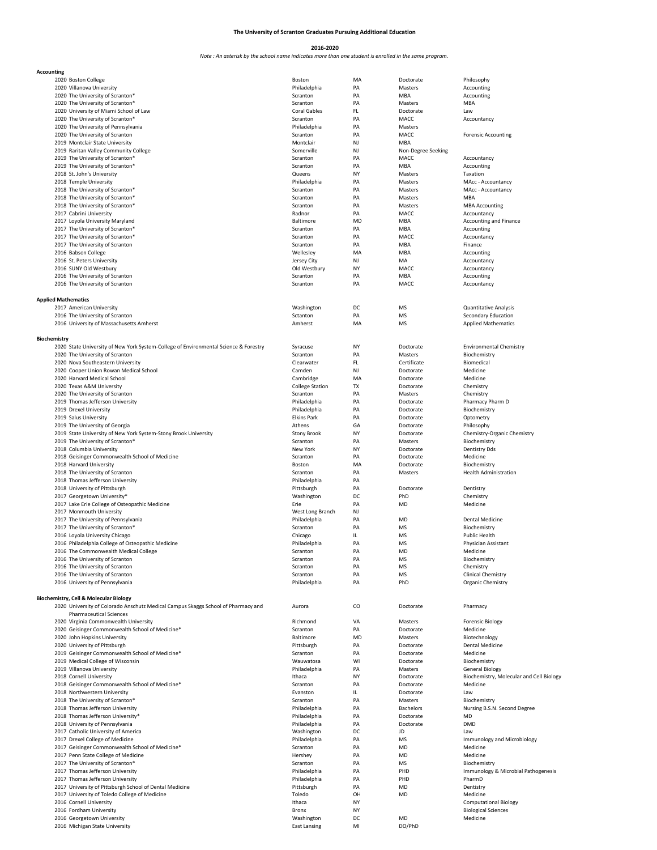## **The University of Scranton Graduates Pursuing Additional Education**

## **2016-2020**

## *Note : An asterisk by the school name indicates more than one student is enrolled in the same program.*

| Accounting                 |                                                                                      |                        |           |                    |                                          |
|----------------------------|--------------------------------------------------------------------------------------|------------------------|-----------|--------------------|------------------------------------------|
|                            | 2020 Boston College                                                                  | Boston                 | MA        | Doctorate          | Philosophy                               |
|                            | 2020 Villanova University                                                            | Philadelphia           | PA        | Masters            | Accounting                               |
|                            | 2020 The University of Scranton*                                                     | Scranton               | PA        | MBA                | Accounting                               |
|                            | 2020 The University of Scranton*                                                     | Scranton               | PA        | Masters            | MBA                                      |
|                            | 2020 University of Miami School of Law                                               | Coral Gables           | FL        |                    | Law                                      |
|                            |                                                                                      |                        |           | Doctorate          |                                          |
|                            | 2020 The University of Scranton*                                                     | Scranton               | PA        | MACC               | Accountancy                              |
|                            | 2020 The University of Pennsylvania                                                  | Philadelphia           | PA        | Masters            |                                          |
|                            | 2020 The University of Scranton                                                      | Scranton               | PA        | MACC               | <b>Forensic Accounting</b>               |
|                            | 2019 Montclair State University                                                      | Montclair              | NJ        | MBA                |                                          |
|                            | 2019 Raritan Valley Community College                                                | Somerville             | NJ        | Non-Degree Seeking |                                          |
|                            |                                                                                      |                        | PA        |                    |                                          |
|                            | 2019 The University of Scranton*                                                     | Scranton               |           | MACC               | Accountancy                              |
|                            | 2019 The University of Scranton*                                                     | Scranton               | PA        | MBA                | Accounting                               |
|                            | 2018 St. John's University                                                           | Queens                 | NY        | Masters            | Taxation                                 |
|                            | 2018 Temple University                                                               | Philadelphia           | PA        | Masters            | MAcc - Accountancy                       |
|                            | 2018 The University of Scranton*                                                     | Scranton               | PA        | Masters            | MAcc - Accountancy                       |
|                            | 2018 The University of Scranton*                                                     | Scranton               | PA        | Masters            | MBA                                      |
|                            |                                                                                      |                        | PA        |                    |                                          |
|                            | 2018 The University of Scranton*                                                     | Scranton               |           | Masters            | <b>MBA Accounting</b>                    |
|                            | 2017 Cabrini University                                                              | Radnor                 | PA        | MACC               | Accountancy                              |
|                            | 2017 Loyola University Maryland                                                      | Baltimore              | MD        | MBA                | <b>Accounting and Finance</b>            |
|                            | 2017 The University of Scranton*                                                     | Scranton               | PA        | MBA                | Accounting                               |
|                            | 2017 The University of Scranton*                                                     | Scranton               | PA        | MACC               | Accountancy                              |
|                            | 2017 The University of Scranton                                                      | Scranton               | PA        | MBA                | Finance                                  |
|                            |                                                                                      |                        |           |                    |                                          |
|                            | 2016 Babson College                                                                  | Wellesley              | MA        | MBA                | Accounting                               |
|                            | 2016 St. Peters University                                                           | Jersey City            | NJ        | MA                 | Accountancy                              |
|                            | 2016 SUNY Old Westbury                                                               | Old Westbury           | <b>NY</b> | MACC               | Accountancy                              |
|                            | 2016 The University of Scranton                                                      | Scranton               | PA        | MBA                | Accounting                               |
|                            | 2016 The University of Scranton                                                      | Scranton               | PA        | MACC               | Accountancy                              |
|                            |                                                                                      |                        |           |                    |                                          |
|                            |                                                                                      |                        |           |                    |                                          |
| <b>Applied Mathematics</b> |                                                                                      |                        |           |                    |                                          |
|                            | 2017 American University                                                             | Washington             | DC        | MS                 | Quantitative Analysis                    |
|                            | 2016 The University of Scranton                                                      | Sctanton               | PA        | MS                 | Secondary Education                      |
|                            | 2016 University of Massachusetts Amherst                                             | Amherst                | MA        | MS                 | <b>Applied Mathematics</b>               |
|                            |                                                                                      |                        |           |                    |                                          |
|                            |                                                                                      |                        |           |                    |                                          |
| Biochemistry               |                                                                                      |                        |           |                    |                                          |
|                            | 2020 State University of New York System-College of Environmental Science & Forestry | Syracuse               | NY        | Doctorate          | <b>Environmental Chemistry</b>           |
|                            | 2020 The University of Scranton                                                      | Scranton               | PA        | Masters            | Biochemistry                             |
|                            |                                                                                      | Clearwater             | FL        |                    | Biomedical                               |
|                            | 2020 Nova Southeastern University                                                    |                        |           | Certificate        |                                          |
|                            | 2020 Cooper Union Rowan Medical School                                               | Camden                 | NJ        | Doctorate          | Medicine                                 |
|                            | 2020 Harvard Medical School                                                          | Cambridge              | MA        | Doctorate          | Medicine                                 |
|                            | 2020 Texas A&M University                                                            | <b>College Station</b> | TX        | Doctorate          | Chemistry                                |
|                            |                                                                                      | Scranton               | PA        | Masters            | Chemistry                                |
|                            | 2020 The University of Scranton                                                      |                        |           |                    |                                          |
|                            | 2019 Thomas Jefferson University                                                     | Philadelphia           | PA        | Doctorate          | Pharmacy Pharm D                         |
|                            | 2019 Drexel University                                                               | Philadelphia           | PA        | Doctorate          | Biochemistry                             |
|                            | 2019 Salus University                                                                | <b>Elkins Park</b>     | PA        | Doctorate          | Optometry                                |
|                            | 2019 The University of Georgia                                                       | Athens                 | GA        | Doctorate          | Philosophy                               |
|                            |                                                                                      |                        |           |                    |                                          |
|                            | 2019 State University of New York System-Stony Brook University                      | <b>Stony Brook</b>     | NY        | Doctorate          | Chemistry-Organic Chemistry              |
|                            | 2019 The University of Scranton*                                                     | Scranton               | PA        | Masters            | Biochemistry                             |
|                            | 2018 Columbia University                                                             | New York               | NY        | Doctorate          | <b>Dentistry Dds</b>                     |
|                            | 2018 Geisinger Commonwealth School of Medicine                                       | Scranton               | PA        | Doctorate          | Medicine                                 |
|                            |                                                                                      |                        |           |                    |                                          |
|                            | 2018 Harvard University                                                              | Boston                 | MA        | Doctorate          | Biochemistry                             |
|                            | 2018 The University of Scranton                                                      | Scranton               | PA        | Masters            | <b>Health Administration</b>             |
|                            | 2018 Thomas Jefferson University                                                     | Philadelphia           | PA        |                    |                                          |
|                            | 2018 University of Pittsburgh                                                        | Pittsburgh             | PA        | Doctorate          | Dentistry                                |
|                            |                                                                                      |                        |           |                    |                                          |
|                            | 2017 Georgetown University*                                                          | Washington             | DC        | PhD                | Chemistry                                |
|                            | 2017 Lake Erie College of Osteopathic Medicine                                       | Erie                   | PA        | MD                 | Medicine                                 |
|                            | 2017 Monmouth University                                                             | West Long Branch       | NJ        |                    |                                          |
|                            | 2017 The University of Pennsylvania                                                  | Philadelphia           | PA        | MD                 | Dental Medicine                          |
|                            | 2017 The University of Scranton*                                                     | Scranton               | PA        | MS                 | Biochemistry                             |
|                            |                                                                                      |                        |           |                    |                                          |
|                            | 2016 Loyola University Chicago                                                       | Chicago                | IL        | MS                 | <b>Public Health</b>                     |
|                            | 2016 Philadelphia College of Osteopathic Medicine                                    | Philadelphia           | PA        | MS                 | Physician Assistant                      |
|                            | 2016 The Commonwealth Medical College                                                | scranton               | PА        | MD                 | Medicine                                 |
|                            | 2016 The University of Scranton                                                      | Scranton               | PA        | MS                 | Biochemistry                             |
|                            | 2016 The University of Scranton                                                      |                        |           |                    |                                          |
|                            |                                                                                      | Scranton               | PA        | MS                 | Chemistry                                |
|                            | 2016 The University of Scranton                                                      | Scranton               | PA        | MS                 | Clinical Chemistry                       |
|                            | 2016 University of Pennsylvania                                                      | Philadelphia           | PA        | PhD                | Organic Chemistry                        |
|                            |                                                                                      |                        |           |                    |                                          |
|                            | <b>Biochemistry, Cell &amp; Molecular Biology</b>                                    |                        |           |                    |                                          |
|                            | 2020 University of Colorado Anschutz Medical Campus Skaggs School of Pharmacy and    | Aurora                 | CO        | Doctorate          | Pharmacy                                 |
|                            | <b>Pharmaceutical Sciences</b>                                                       |                        |           |                    |                                          |
|                            |                                                                                      |                        |           |                    |                                          |
|                            | 2020 Virginia Commonwealth University                                                | Richmond               | VA        | Masters            | <b>Forensic Biology</b>                  |
|                            | 2020 Geisinger Commonwealth School of Medicine*                                      | Scranton               | PA        | Doctorate          | Medicine                                 |
|                            | 2020 John Hopkins University                                                         | Baltimore              | MD        | Masters            | Biotechnology                            |
|                            | 2020 University of Pittsburgh                                                        | Pittsburgh             | PA        | Doctorate          | Dental Medicine                          |
|                            |                                                                                      |                        |           |                    |                                          |
|                            | 2019 Geisinger Commonwealth School of Medicine*                                      | Scranton               | PA        | Doctorate          | Medicine                                 |
|                            | 2019 Medical College of Wisconsin                                                    | Wauwatosa              | WI        | Doctorate          | Biochemistry                             |
|                            | 2019 Villanova University                                                            | Philadelphia           | PA        | Masters            | <b>General Biology</b>                   |
|                            | 2018 Cornell University                                                              | Ithaca                 | NY        | Doctorate          | Biochemistry, Molecular and Cell Biology |
|                            | 2018 Geisinger Commonwealth School of Medicine*                                      | Scranton               | PA        | Doctorate          | Medicine                                 |
|                            |                                                                                      |                        |           |                    |                                          |
|                            | 2018 Northwestern University                                                         | Evanston               | IL.       | Doctorate          | Law                                      |
|                            | 2018 The University of Scranton*                                                     | Scranton               | PA        | Masters            | Biochemistry                             |
|                            | 2018 Thomas Jefferson University                                                     | Philadelphia           | PA        | <b>Bachelors</b>   | Nursing B.S.N. Second Degree             |
|                            | 2018 Thomas Jefferson University*                                                    | Philadelphia           | PA        | Doctorate          | MD                                       |
|                            |                                                                                      |                        |           |                    |                                          |
|                            | 2018 University of Pennsylvania                                                      | Philadelphia           | PA        | Doctorate          | <b>DMD</b>                               |
|                            | 2017 Catholic University of America                                                  | Washington             | DC        | JD                 | Law                                      |
|                            | 2017 Drexel College of Medicine                                                      | Philadelphia           | PA        | MS                 | <b>Immunology and Microbiology</b>       |
|                            |                                                                                      |                        |           |                    |                                          |
|                            | 2017 Geisinger Commonwealth School of Medicine*                                      | Scranton               | PA        | MD                 | Medicine                                 |
|                            | 2017 Penn State College of Medicine                                                  | Hershey                | PA        | MD                 | Medicine                                 |
|                            | 2017 The University of Scranton*                                                     | Scranton               | PA        | MS                 | Biochemistry                             |
|                            | 2017 Thomas Jefferson University                                                     | Philadelphia           | PA        | PHD                | Immunology & Microbial Pathogenesis      |
|                            |                                                                                      |                        |           |                    |                                          |
|                            | 2017 Thomas Jefferson University                                                     | Philadelphia           | PA        | PHD                | PharmD                                   |
|                            | 2017 University of Pittsburgh School of Dental Medicine                              | Pittsburgh             | PA        | MD                 | Dentistry                                |
|                            | 2017 University of Toledo College of Medicine                                        | Toledo                 | OH        | MD                 | Medicine                                 |
|                            | 2016 Cornell University                                                              | Ithaca                 | NY        |                    | <b>Computational Biology</b>             |
|                            |                                                                                      |                        |           |                    |                                          |
|                            | 2016 Fordham University                                                              | Bronx                  | NY        |                    | <b>Biological Sciences</b>               |
|                            | 2016 Georgetown University                                                           | Washington             | DC        | MD                 | Medicine                                 |
|                            | 2016 Michigan State University                                                       | <b>East Lansing</b>    | MI        | DO/PhD             |                                          |
|                            |                                                                                      |                        |           |                    |                                          |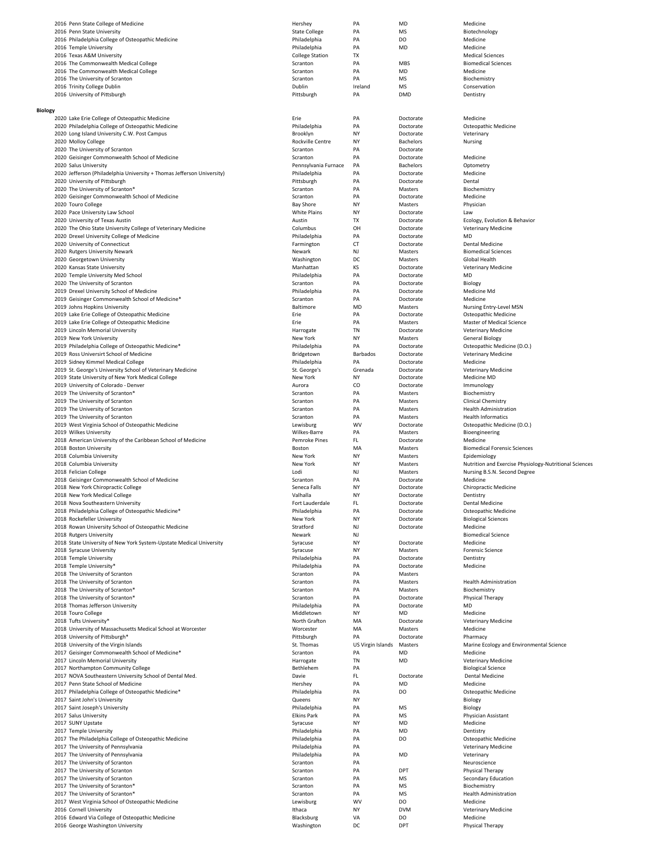|                | 2016 Penn State College of Medicine                                                  | Hershey                      | PA                      | MD                     | Medicine                                               |
|----------------|--------------------------------------------------------------------------------------|------------------------------|-------------------------|------------------------|--------------------------------------------------------|
|                | 2016 Penn State University                                                           | <b>State College</b>         | PA                      | <b>MS</b>              | Biotechnology                                          |
|                | 2016 Philadelphia College of Osteopathic Medicine                                    | Philadelphia                 | PA                      | DO                     | Medicine                                               |
|                | 2016 Temple University                                                               | Philadelphia                 | PA                      | MD                     | Medicine                                               |
|                | 2016 Texas A&M University                                                            | <b>College Station</b>       | <b>TX</b>               |                        | <b>Medical Sciences</b>                                |
|                | 2016 The Commonwealth Medical College                                                | Scranton                     | PA                      | MBS                    | <b>Biomedical Sciences</b>                             |
|                | 2016 The Commonwealth Medical College                                                | Scranton                     | PA                      | MD                     | Medicine                                               |
|                | 2016 The University of Scranton                                                      | Scranton                     | PA                      | MS                     | Biochemistry                                           |
|                | 2016 Trinity College Dublin                                                          | Dublin                       | Ireland                 | MS                     | Conservation                                           |
|                | 2016 University of Pittsburgh                                                        | Pittsburgh                   | PA                      | <b>DMD</b>             | Dentistry                                              |
| <b>Biology</b> |                                                                                      |                              |                         |                        |                                                        |
|                | 2020 Lake Erie College of Osteopathic Medicine                                       | Erie                         | PA                      | Doctorate              | Medicine                                               |
|                | 2020 Philadelphia College of Osteopathic Medicine                                    | Philadelphia                 | PA                      | Doctorate              | Osteopathic Medicine                                   |
|                | 2020 Long Island University C.W. Post Campus                                         | Brooklyn                     | NY                      | Doctorate              | Veterinary                                             |
|                | 2020 Molloy College                                                                  | Rockville Centre             | NY                      | Bachelors              | Nursing                                                |
|                | 2020 The University of Scranton                                                      | Scranton                     | PA                      | Doctorate              |                                                        |
|                | 2020 Geisinger Commonwealth School of Medicine                                       | Scranton                     | PA                      | Doctorate              | Medicine                                               |
|                | 2020 Salus University                                                                | Pennsylvania Furnace         | PA                      | Bachelors              | Optometry                                              |
|                | 2020 Jefferson (Philadelphia University + Thomas Jefferson University)               | Philadelphia                 | PA                      | Doctorate              | Medicine                                               |
|                | 2020 University of Pittsburgh                                                        | Pittsburgh                   | PA                      | Doctorate              | Dental                                                 |
|                | 2020 The University of Scranton*<br>2020 Geisinger Commonwealth School of Medicine   | Scranton<br>Scranton         | PA<br>PA                | Masters<br>Doctorate   | Biochemistry<br>Medicine                               |
|                | 2020 Touro College                                                                   | <b>Bay Shore</b>             | NY                      | Masters                | Physician                                              |
|                | 2020 Pace University Law School                                                      | White Plains                 | NY                      | Doctorate              | Law                                                    |
|                | 2020 University of Texas Austin                                                      | Austin                       | TX                      | Doctorate              | Ecology, Evolution & Behavior                          |
|                | 2020 The Ohio State University College of Veterinary Medicine                        | Columbus                     | OH                      | Doctorate              | Veterinary Medicine                                    |
|                | 2020 Drexel University College of Medicine                                           | Philadelphia                 | PA                      | Doctorate              | MD                                                     |
|                | 2020 University of Connecticut                                                       | Farmington                   | <b>CT</b>               | Doctorate              | <b>Dental Medicine</b>                                 |
|                | 2020 Rutgers University Newark                                                       | Newark                       | NJ                      | Masters                | <b>Biomedical Sciences</b>                             |
|                | 2020 Georgetown University                                                           | Washington                   | DC                      | Masters                | Global Health                                          |
|                | 2020 Kansas State University                                                         | Manhattan                    | KS                      | Doctorate              | Veterinary Medicine                                    |
|                | 2020 Temple University Med School                                                    | Philadelphia                 | PA                      | Doctorate              | MD                                                     |
|                | 2020 The University of Scranton<br>2019 Drexel University School of Medicine         | Scranton<br>Philadelphia     | PA<br>PA                | Doctorate<br>Doctorate | Biology<br>Medicine Md                                 |
|                | 2019 Geisinger Commonwealth School of Medicine*                                      | Scranton                     | PA                      | Doctorate              | Medicine                                               |
|                | 2019 Johns Hopkins University                                                        | Baltimore                    | MD                      | Masters                | Nursing Entry-Level MSN                                |
|                | 2019 Lake Erie College of Osteopathic Medicine                                       | Erie                         | PA                      | Doctorate              | Osteopathic Medicine                                   |
|                | 2019 Lake Erie College of Osteopathic Medicine                                       | Erie                         | PA                      | Masters                | Master of Medical Science                              |
|                | 2019 Lincoln Memorial University                                                     | Harrogate                    | TN                      | Doctorate              | Veterinary Medicine                                    |
|                | 2019 New York University                                                             | New York                     | NY                      | Masters                | <b>General Biology</b>                                 |
|                | 2019 Philadelphia College of Osteopathic Medicine*                                   | Philadelphia                 | PA                      | Doctorate              | Osteopathic Medicine (D.O.)                            |
|                | 2019 Ross Universirt School of Medicine                                              | Bridgetown                   | Barbados                | Doctorate              | Veterinary Medicine                                    |
|                | 2019 Sidney Kimmel Medical College                                                   | Philadelphia                 | PA                      | Doctorate              | Medicine                                               |
|                | 2019 St. George's University School of Veterinary Medicine                           | St. George's                 | Grenada                 | Doctorate              | Veterinary Medicine                                    |
|                | 2019 State University of New York Medical College                                    | New York                     | NY                      | Doctorate              | Medicine MD                                            |
|                | 2019 University of Colorado - Denver                                                 | Aurora                       | CO                      | Doctorate              | Immunology                                             |
|                | 2019 The University of Scranton*<br>2019 The University of Scranton                  | Scranton<br>Scranton         | PA<br>PA                | Masters<br>Masters     | Biochemistry<br><b>Clinical Chemistry</b>              |
|                | 2019 The University of Scranton                                                      | Scranton                     | PA                      | Masters                | <b>Health Administration</b>                           |
|                | 2019 The University of Scranton                                                      | Scranton                     | PA                      | Masters                | Health Informatics                                     |
|                | 2019 West Virginia School of Osteopathic Medicine                                    | Lewisburg                    | <b>WV</b>               | Doctorate              | Osteopathic Medicine (D.O.)                            |
|                | 2019 Wilkes University                                                               | Wilkes-Barre                 | PA                      | Masters                | Bioengineering                                         |
|                | 2018 American University of the Caribbean School of Medicine                         | <b>Pemroke Pines</b>         | FL.                     | Doctorate              | Medicine                                               |
|                | 2018 Boston University                                                               | Boston                       | MA                      | Masters                | <b>Biomedical Forensic Sciences</b>                    |
|                | 2018 Columbia University                                                             | New York                     | NY                      | Masters                | Epidemiology                                           |
|                | 2018 Columbia University                                                             | New York                     | NY                      | Masters                | Nutrition and Exercise Physiology-Nutritional Sciences |
|                | 2018 Felician College                                                                | Lodi                         | NJ                      | Masters<br>Doctorate   | Nursing B.S.N. Second Degree                           |
|                | 2018 Geisinger Commonwealth School of Medicine<br>2018 New York Chiropractic College | Scranton<br>Seneca Falls     | PA<br>NY                | Doctorate              | Medicine<br><b>Chiropractic Medicine</b>               |
|                | 2018 New York Medical College                                                        | Valhalla                     | <b>NY</b>               | Doctorate              | Dentistry                                              |
|                | 2018 Nova Southeastern University                                                    | Fort Lauderdale              | FL                      | Doctorate              | Dental Medicine                                        |
|                | 2018 Philadelphia College of Osteopathic Medicine*                                   | Philadelphia                 | PA                      | Doctorate              | Osteopathic Medicine                                   |
|                | 2018 Rockefeller University                                                          | New York                     | NY                      | Doctorate              | <b>Biological Sciences</b>                             |
|                | 2018 Rowan University School of Osteopathic Medicine                                 | Stratford                    | NJ                      | Doctorate              | Medicine                                               |
|                | 2018 Rutgers University                                                              | Newark                       | NJ                      |                        | <b>Biomedical Science</b>                              |
|                | 2018 State University of New York System-Upstate Medical University                  | Syracuse                     | NY                      | Doctorate              | Medicine                                               |
|                | 2018 Syracuse University                                                             | Syracuse                     | NY                      | Masters                | <b>Forensic Science</b>                                |
|                | 2018 Temple University<br>2018 Temple University*                                    | Philadelphia<br>Philadelphia | PA<br>PA                | Doctorate              | Dentistry<br>Medicine                                  |
|                | 2018 The University of Scranton                                                      | Scranton                     | PA                      | Doctorate<br>Masters   |                                                        |
|                | 2018 The University of Scranton                                                      | Scranton                     | PA                      | Masters                | <b>Health Administration</b>                           |
|                | 2018 The University of Scranton*                                                     | Scranton                     | PA                      | Masters                | Biochemistry                                           |
|                | 2018 The University of Scranton*                                                     | Scranton                     | PA                      | Doctorate              | Physical Therapy                                       |
|                | 2018 Thomas Jefferson University                                                     | Philadelphia                 | PA                      | Doctorate              | MD                                                     |
|                | 2018 Touro College                                                                   | Middletown                   | NY                      | MD                     | Medicine                                               |
|                | 2018 Tufts University*                                                               | North Grafton                | MA                      | Doctorate              | Veterinary Medicine                                    |
|                | 2018 University of Massachusetts Medical School at Worcester                         | Worcester                    | MA                      | Masters                | Medicine                                               |
|                | 2018 University of Pittsburgh*<br>2018 University of the Virgin Islands              | Pittsburgh                   | PA<br>US Virgin Islands | Doctorate<br>Masters   | Pharmacy                                               |
|                | 2017 Geisinger Commonwealth School of Medicine*                                      | St. Thomas<br>Scranton       | PA                      | MD                     | Marine Ecology and Environmental Science<br>Medicine   |
|                | 2017 Lincoln Memorial University                                                     | Harrogate                    | TN                      | MD                     | Veterinary Medicine                                    |
|                | 2017 Northampton Community College                                                   | Bethlehem                    | PA                      |                        | <b>Biological Science</b>                              |
|                | 2017 NOVA Southeastern University School of Dental Med.                              | Davie                        | FL                      | Doctorate              | Dental Medicine                                        |
|                | 2017 Penn State School of Medicine                                                   | Hershey                      | PA                      | MD                     | Medicine                                               |
|                | 2017 Philadelphia College of Osteopathic Medicine*                                   | Philadelphia                 | PA                      | DO                     | Osteopathic Medicine                                   |
|                | 2017 Saint John's University                                                         | Queens                       | NY                      |                        | Biology                                                |
|                | 2017 Saint Joseph's University                                                       | Philadelphia                 | PA                      | <b>MS</b>              | Biology                                                |
|                | 2017 Salus University                                                                | <b>Elkins Park</b>           | PA                      | <b>MS</b>              | Physician Assistant                                    |
|                | 2017 SUNY Upstate                                                                    | Syracuse                     | NY                      | MD                     | Medicine                                               |
|                | 2017 Temple University<br>2017 The Philadelphia College of Osteopathic Medicine      | Philadelphia<br>Philadelphia | PA<br>PA                | MD<br>DO               | Dentistry<br>Osteopathic Medicine                      |
|                | 2017 The University of Pennsylvania                                                  | Philadelphia                 | PA                      |                        | Veterinary Medicine                                    |
|                | 2017 The University of Pennsylvania                                                  | Philadelphia                 | PA                      | MD                     | Veterinary                                             |
|                | 2017 The University of Scranton                                                      | Scranton                     | PA                      |                        | Neuroscience                                           |
|                | 2017 The University of Scranton                                                      | Scranton                     | PA                      | DPT                    | Physical Therapy                                       |
|                | 2017 The University of Scranton                                                      | Scranton                     | PA                      | <b>MS</b>              | Secondary Education                                    |
|                | 2017 The University of Scranton*                                                     | Scranton                     | PA                      | MS                     | Biochemistry                                           |
|                | 2017 The University of Scranton*                                                     | Scranton                     | PA                      | MS                     | <b>Health Administration</b>                           |
|                | 2017 West Virginia School of Osteopathic Medicine                                    | Lewisburg                    | <b>WV</b>               | DO                     | Medicine                                               |
|                | 2016 Cornell University                                                              | Ithaca                       | NY                      | <b>DVM</b>             | Veterinary Medicine                                    |
|                | 2016 Edward Via College of Osteopathic Medicine<br>2016 George Washington University | Blacksburg<br>Washington     | VA<br>DC                | DO<br>DPT              | Medicine                                               |
|                |                                                                                      |                              |                         |                        | Physical Therapy                                       |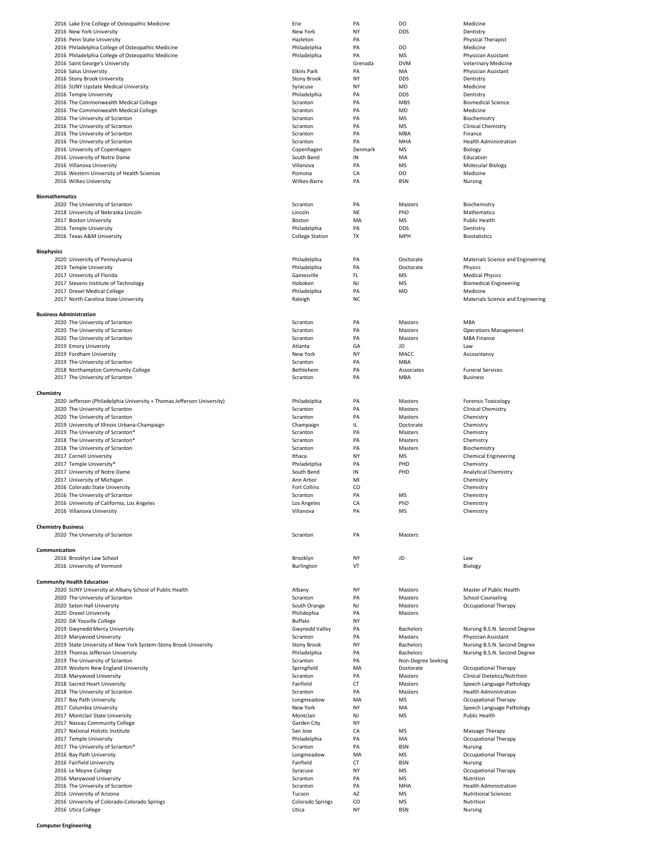|                       | 2016 Lake Erie College of Osteopathic Medicine                         | Erie                       | PA        | DO                   | Medicine                                                     |
|-----------------------|------------------------------------------------------------------------|----------------------------|-----------|----------------------|--------------------------------------------------------------|
|                       | 2016 New York University                                               | New York                   | NY        | <b>DDS</b>           | Dentistry                                                    |
|                       | 2016 Penn State University                                             | Hazleton                   | PA        |                      | Physical Therapist                                           |
|                       | 2016 Philadelphia College of Osteopathic Medicine                      | Philadelphia               | PA        | DO                   | Medicine                                                     |
|                       | 2016 Philadelphia College of Osteopathic Medicine                      | Philadelphia               | PA        | <b>MS</b>            | Physician Assistant                                          |
|                       | 2016 Saint George's University                                         |                            | Grenada   | <b>DVM</b>           | <b>Veterinary Medicine</b>                                   |
|                       | 2016 Salus University                                                  | <b>Elkins Park</b>         | PA        | MA                   | Physician Assistant                                          |
|                       | 2016 Stony Brook University                                            | <b>Stony Brook</b>         | NY        | <b>DDS</b>           | Dentistry                                                    |
|                       | 2016 SUNY Upstate Medical University                                   | Syracuse                   | NY        | MD                   | Medicine                                                     |
|                       | 2016 Temple University                                                 | Philadelphia               | PA        | <b>DDS</b>           | Dentistry                                                    |
|                       | 2016 The Commonwealth Medical College                                  | Scranton                   | PA        | MBS                  | <b>Biomedical Science</b>                                    |
|                       | 2016 The Commonwealth Medical College                                  | Scranton                   | PA        | MD                   | Medicine                                                     |
|                       | 2016 The University of Scranton                                        | Scranton                   | PA        | <b>MS</b>            | Biochemistry                                                 |
|                       | 2016 The University of Scranton                                        | Scranton                   | PA        | MS                   | <b>Clinical Chemistry</b>                                    |
|                       | 2016 The University of Scranton                                        | Scranton                   | PA<br>PA  | MBA                  | Finance                                                      |
|                       | 2016 The University of Scranton<br>2016 University of Copenhagen       | Scranton<br>Copenhagen     | Denmark   | MHA<br>MS            | <b>Health Administration</b><br>Biology                      |
|                       | 2016 University of Notre Dame                                          | South Bend                 | IN        | MA                   | Education                                                    |
|                       | 2016 Villanova University                                              | Villanova                  | PA        | <b>MS</b>            | Molecular Biology                                            |
|                       | 2016 Western University of Health Sciences                             | Pomona                     | CA        | DO                   | Medicine                                                     |
|                       | 2016 Wilkes University                                                 | Wilkes-Barre               | PA        | <b>BSN</b>           | Nursing                                                      |
|                       |                                                                        |                            |           |                      |                                                              |
| <b>Biomathematics</b> |                                                                        |                            |           |                      |                                                              |
|                       | 2020 The University of Scranton                                        | Scranton                   | PA        | Masters              | Biochemistry                                                 |
|                       | 2018 University of Nebraska Lincoln                                    | Lincoln                    | NE        | PhD                  | Mathematics                                                  |
|                       | 2017 Boston University                                                 | Boston                     | MA        | MS                   | Public Health                                                |
|                       | 2016 Temple University                                                 | Philadelphia               | PA        | <b>DDS</b>           | Dentistry                                                    |
|                       | 2016 Texas A&M University                                              | <b>College Station</b>     | TX        | MPH                  | <b>Biostatistics</b>                                         |
|                       |                                                                        |                            |           |                      |                                                              |
| <b>Biophysics</b>     |                                                                        |                            |           |                      |                                                              |
|                       | 2020 University of Pennsylvania                                        | Philadelphia               | PA        | Doctorate            | Materials Science and Engineering                            |
|                       | 2019 Temple University                                                 | Philadelphia               | PA        | Doctorate            | Physics                                                      |
|                       | 2017 University of Florida                                             | Gainesville                | FL        | MS                   | <b>Medical Physics</b>                                       |
|                       | 2017 Stevens Institute of Technology                                   | Hoboken                    | NJ        | MS                   | <b>Biomedical Engineering</b>                                |
|                       | 2017 Drexel Medical College                                            | Philadelphia               | PA        | MD                   | Medicine                                                     |
|                       | 2017 North Carolina State University                                   | Raleigh                    | <b>NC</b> |                      | Materials Science and Engineering                            |
|                       |                                                                        |                            |           |                      |                                                              |
|                       | <b>Business Administration</b>                                         |                            |           |                      |                                                              |
|                       | 2020 The University of Scranton                                        | Scranton                   | PA        | Masters              | MBA                                                          |
|                       | 2020 The University of Scranton                                        | Scranton                   | PA        | Masters              | <b>Operations Management</b>                                 |
|                       | 2020 The University of Scranton                                        | Scranton                   | PA        | Masters              | <b>MBA Finance</b>                                           |
|                       | 2019 Emory University                                                  | Atlanta                    | GA        | JD                   | Law                                                          |
|                       | 2019 Fordham University                                                | New York<br>Scranton       | NY<br>PA  | MACC<br>MBA          | Accountancy                                                  |
|                       | 2019 The University of Scranton<br>2018 Northampton Community College  | Bethlehem                  | PA        | Associates           | <b>Funeral Services</b>                                      |
|                       | 2017 The University of Scranton                                        | Scranton                   | PA        | MBA                  | <b>Business</b>                                              |
|                       |                                                                        |                            |           |                      |                                                              |
| Chemistry             |                                                                        |                            |           |                      |                                                              |
|                       | 2020 Jefferson (Philadelphia University + Thomas Jefferson University) | Philadelphia               | PA        | Masters              | <b>Forensic Toxicology</b>                                   |
|                       | 2020 The University of Scranton                                        | Scranton                   | PA        | Masters              | Clinical Chemistry                                           |
|                       | 2020 The University of Scranton                                        | Scranton                   | PA        | Masters              | Chemistry                                                    |
|                       | 2019 University of Illinois Urbana-Champaign                           | Champaign                  | IL.       | Doctorate            | Chemistry                                                    |
|                       | 2019 The University of Scranton*                                       | Scranton                   | PA        | Masters              | Chemistry                                                    |
|                       | 2018 The University of Scranton*                                       | Scranton                   | PA        | Masters              | Chemistry                                                    |
|                       |                                                                        |                            | PA        | Masters              | Biochemistry                                                 |
|                       | 2018 The University of Scranton                                        | Scranton                   |           |                      |                                                              |
|                       | 2017 Cornell University                                                | Ithaca                     | NY        | MS                   | <b>Chemical Engineering</b>                                  |
|                       | 2017 Temple University*                                                | Philadelphia               | PA        | PHD                  | Chemistry                                                    |
|                       | 2017 University of Notre Dame                                          | South Bend                 | IN        | PHD                  | <b>Analytical Chemistry</b>                                  |
|                       | 2017 University of Michigan                                            | Ann Arbor                  | MI        |                      | Chemistry                                                    |
|                       | 2016 Colorado State University                                         | Fort Collins               | CO        |                      | Chemistry                                                    |
|                       | 2016 The University of Scranton                                        | Scranton                   | PA        | <b>MS</b>            | Chemistry                                                    |
|                       | 2016 University of California, Los Angeles                             | Los Angeles                | CA        | PhD                  | Chemistry                                                    |
|                       | 2016 Villanova University                                              | Villanova                  | PA        | <b>MS</b>            | Chemistry                                                    |
|                       |                                                                        |                            |           |                      |                                                              |
|                       | <b>Chemistry Business</b>                                              |                            |           |                      |                                                              |
|                       | 2020 The University of Scranton                                        | Scranton                   | PA        | Masters              |                                                              |
|                       |                                                                        |                            |           |                      |                                                              |
| Communication         |                                                                        |                            |           |                      |                                                              |
|                       | 2016 Brooklyn Law School                                               | Brooklyn                   | NY        | JD                   | Law                                                          |
|                       | 2016 University of Vermont                                             | Burlington                 | VT        |                      | Biology                                                      |
|                       |                                                                        |                            |           |                      |                                                              |
|                       | <b>Community Health Education</b>                                      |                            |           |                      |                                                              |
|                       | 2020 SUNY University at Albany School of Public Health                 | Albany                     | NY        | Masters              | Master of Public Health                                      |
|                       | 2020 The University of Scranton                                        | Scranton                   | PA        | Masters              | <b>School Counseling</b>                                     |
|                       | 2020 Seton Hall University                                             | South Orange               | NJ        | Masters              | Occupational Therapy                                         |
|                       | 2020 Drexel University                                                 | Philidephia                | PA        | Masters              |                                                              |
|                       | 2020 DA'Youville College                                               | Buffalo                    | NY        |                      |                                                              |
|                       | 2019 Gwynedd Mercy University<br>2019 Marywood University              | Gwynedd Valley<br>Scranton | PA<br>PA  | Bachelors<br>Masters | Nursing B.S.N. Second Degree<br>Physician Assistant          |
|                       | 2019 State University of New York System-Stony Brook University        | <b>Stony Brook</b>         | NY        | <b>Bachelors</b>     |                                                              |
|                       | 2019 Thomas Jefferson University                                       | Philadelphia               | PA        | <b>Bachelors</b>     | Nursing B.S.N. Second Degree<br>Nursing B.S.N. Second Degree |
|                       | 2019 The University of Scranton                                        | Scranton                   | PA        | Non-Degree Seeking   |                                                              |
|                       | 2019 Western New England University                                    | Springfield                | MA        | Doctorate            | Occupational Therapy                                         |
|                       | 2018 Marywood University                                               | Scranton                   | PA        | Masters              | Clinical Dietetics/Nutrition                                 |
|                       | 2018 Sacred Heart University                                           | Fairfield                  | CT        | Masters              | Speech Language Pathology                                    |
|                       | 2018 The University of Scranton                                        | Scranton                   | PA        | Masters              | <b>Health Administration</b>                                 |
|                       | 2017 Bay Path University                                               | Longmeadow                 | MA        | MS                   | Occupational Therapy                                         |
|                       | 2017 Columbia University                                               | New York                   | NY        | MA                   | Speech Language Pathology                                    |
|                       | 2017 Montclair State University                                        | Montclair                  | NJ        | MS                   | Public Health                                                |
|                       | 2017 Nassau Community College                                          | Garden City                | NY        |                      |                                                              |
|                       | 2017 National Holistic Institute                                       | San Jose                   | CA        | MS                   | Massage Therapy                                              |
|                       | 2017 Temple University                                                 | Philadelphia               | PA        | MA                   | Occupational Therapy                                         |
|                       | 2017 The University of Scranton*                                       | Scranton                   | PA        | <b>BSN</b>           | Nursing                                                      |
|                       | 2016 Bay Path University                                               | Longmeadow                 | MA        | MS                   | Occupational Therapy                                         |
|                       | 2016 Fairfield University                                              | Fairfield                  | CT        | <b>BSN</b>           | Nursing                                                      |
|                       | 2016 Le Moyne College                                                  | Syracuse                   | NY        | MS                   | Occupational Therapy                                         |
|                       | 2016 Marywood University                                               | Scranton                   | PA        | MS                   | Nutrition                                                    |
|                       | 2016 The University of Scranton                                        | Scranton                   | PA        | MHA                  | <b>Health Administration</b>                                 |
|                       | 2016 University of Arizona                                             | Tucson                     | AZ        | MS                   | <b>Nutritional Sciences</b>                                  |
|                       | 2016 University of Colorado-Colorado Springs<br>2016 Utica College     | Colorado Springs<br>Utica  | CO<br>NY  | MS<br><b>BSN</b>     | Nutrition<br>Nursing                                         |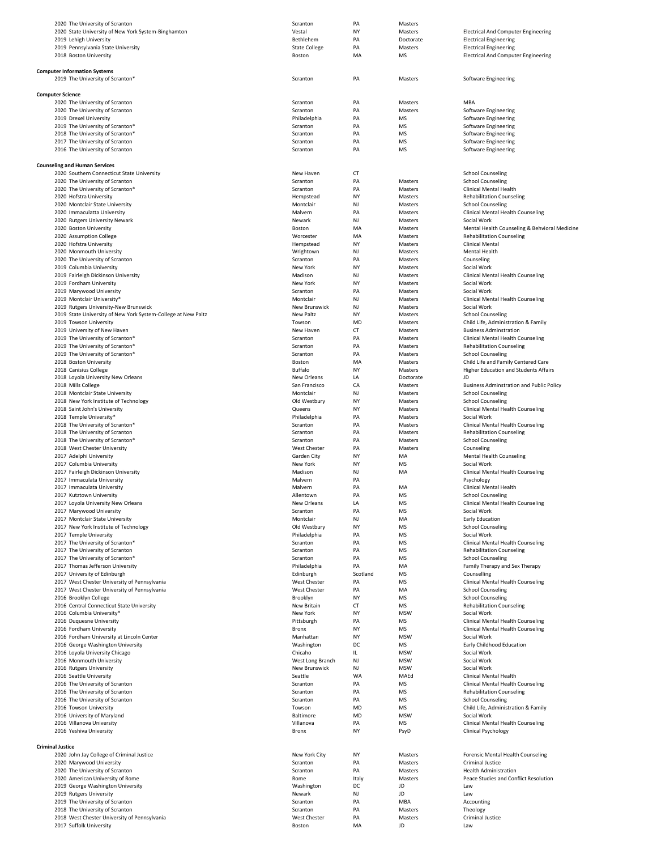| 2020 The University of Scranton                                         | Scranton               | PA        | Masters       |                                                 |
|-------------------------------------------------------------------------|------------------------|-----------|---------------|-------------------------------------------------|
| 2020 State University of New York System-Binghamton                     | Vestal                 | NY        | Masters       | <b>Electrical And Computer Engineering</b>      |
| 2019 Lehigh University                                                  | Bethlehem              | PA        | Doctorate     | <b>Electrical Engineering</b>                   |
|                                                                         |                        | PA        | Masters       |                                                 |
| 2019 Pennsylvania State University                                      | <b>State College</b>   |           |               | <b>Electrical Engineering</b>                   |
| 2018 Boston University                                                  | Boston                 | MA        | MS            | <b>Electrical And Computer Engineering</b>      |
|                                                                         |                        |           |               |                                                 |
| <b>Computer Information Systems</b>                                     |                        |           |               |                                                 |
| 2019 The University of Scranton*                                        | Scranton               | PA        | Masters       | Software Engineering                            |
|                                                                         |                        |           |               |                                                 |
|                                                                         |                        |           |               |                                                 |
| <b>Computer Science</b>                                                 |                        |           |               |                                                 |
| 2020 The University of Scranton                                         | Scranton               | PA        | Masters       | MBA                                             |
| 2020 The University of Scranton                                         | Scranton               | PA        | Masters       | <b>Software Engineering</b>                     |
| 2019 Drexel University                                                  | Philadelphia           | PA        | MS            | <b>Software Engineering</b>                     |
| 2019 The University of Scranton*                                        | Scranton               | PA        | MS            | <b>Software Engineering</b>                     |
|                                                                         |                        |           |               |                                                 |
| 2018 The University of Scranton*                                        | Scranton               | PA        | MS            | Software Engineering                            |
| 2017 The University of Scranton                                         | Scranton               | PA        | MS            | <b>Software Engineering</b>                     |
| 2016 The University of Scranton                                         | Scranton               | PA        | MS            | <b>Software Engineering</b>                     |
|                                                                         |                        |           |               |                                                 |
| <b>Counseling and Human Services</b>                                    |                        |           |               |                                                 |
| 2020 Southern Connecticut State University                              | New Haven              | <b>CT</b> |               | <b>School Counseling</b>                        |
|                                                                         |                        |           |               |                                                 |
| 2020 The University of Scranton                                         | Scranton               | PA        | Masters       | <b>School Counseling</b>                        |
| 2020 The University of Scranton*                                        | Scranton               | PA        | Masters       | Clinical Mental Health                          |
| 2020 Hofstra University                                                 | Hempstead              | NY        | Masters       | <b>Rehabilitation Counseling</b>                |
| 2020 Montclair State University                                         | Montclair              | NJ        | Masters       | <b>School Counseling</b>                        |
| 2020 Immaculatta University                                             | Malvern                | PA        | Masters       | Clinical Mental Health Counseling               |
| 2020 Rutgers University Newark                                          | Newark                 | NJ        | Masters       | Social Work                                     |
|                                                                         |                        |           |               |                                                 |
| 2020 Boston University                                                  | Boston                 | MA        | Masters       | Mental Health Counseling & Behvioral Medicine   |
| 2020 Assumption College                                                 | Worcester              | MA        | Masters       | <b>Rehabilitation Counseling</b>                |
| 2020 Hofstra University                                                 | Hempstead              | NY        | Masters       | <b>Clinical Mental</b>                          |
| 2020 Monmouth University                                                | Wrightown              | NJ        | Masters       | Mental Health                                   |
| 2020 The University of Scranton                                         | Scranton               | PA        | Masters       | Counseling                                      |
| 2019 Columbia University                                                | New York               | NY        | Masters       | Social Work                                     |
|                                                                         | Madison                | NJ        |               | Clinical Mental Health Counseling               |
| 2019 Fairleigh Dickinson University                                     |                        |           | Masters       |                                                 |
| 2019 Fordham University                                                 | New York               | NY        | Masters       | Social Work                                     |
| 2019 Marywood University                                                | Scranton               | PA        | Masters       | Social Work                                     |
| 2019 Montclair University*                                              | Montclair              | NJ        | Masters       | Clinical Mental Health Counseling               |
| 2019 Rutgers University-New Brunswick                                   | New Brunswick          | NJ        | Masters       | Social Work                                     |
| 2019 State University of New York System-College at New Paltz           | New Paltz              | NY        | Masters       | <b>School Counseling</b>                        |
|                                                                         |                        |           |               |                                                 |
| 2019 Towson University                                                  | Towson                 | MD        | Masters       | Child Life, Administration & Family             |
| 2019 University of New Haven                                            | New Haven              | CT        | Masters       | <b>Business Adminstration</b>                   |
| 2019 The University of Scranton*                                        | Scranton               | PA        | Masters       | Clinical Mental Health Counseling               |
| 2019 The University of Scranton*                                        | Scranton               | PA        | Masters       | <b>Rehabilitation Counseling</b>                |
| 2019 The University of Scranton*                                        | Scranton               | PA        | Masters       | <b>School Counseling</b>                        |
|                                                                         | Boston                 | MA        |               | Child Life and Family Centered Care             |
| 2018 Boston University                                                  |                        |           | Masters       |                                                 |
| 2018 Canisius College                                                   | <b>Buffalo</b>         | <b>NY</b> | Masters       | Higher Education and Students Affairs           |
| 2018 Loyola University New Orleans                                      | New Orleans            | LA        | Doctorate     | <b>ID</b>                                       |
| 2018 Mills College                                                      | San Francisco          | CA        | Masters       | <b>Business Adminstration and Public Policy</b> |
| 2018 Montclair State University                                         | Montclair              | NJ        | Masters       | <b>School Counseling</b>                        |
| 2018 New York Institute of Technology                                   | Old Westbury           | NY        | Masters       | <b>School Counseling</b>                        |
|                                                                         |                        | NY        |               |                                                 |
| 2018 Saint John's University                                            | Queens                 |           | Masters       | Clinical Mental Health Counseling               |
| 2018 Temple University*                                                 | Philadelphia           | PA        | Masters       | Social Work                                     |
|                                                                         |                        |           |               |                                                 |
| 2018 The University of Scranton*                                        | Scranton               | PA        | Masters       | Clinical Mental Health Counseling               |
|                                                                         |                        |           |               |                                                 |
| 2018 The University of Scranton                                         | Scranton               | PA        | Masters       | <b>Rehabilitation Counseling</b>                |
| 2018 The University of Scranton*                                        | Scranton               | PA        | Masters       | <b>School Counseling</b>                        |
| 2018 West Chester University                                            | <b>West Chester</b>    | PA        | Masters       | Counseling                                      |
| 2017 Adelphi University                                                 | Garden City            | NY        | MA            | <b>Mental Health Counseling</b>                 |
| 2017 Columbia University                                                | New York               | NY        | MS            | Social Work                                     |
| 2017 Fairleigh Dickinson University                                     | Madison                | NJ        | MA            | Clinical Mental Health Counseling               |
|                                                                         |                        |           |               |                                                 |
| 2017 Immaculata University                                              | Malvern                | PA        |               | Psychology                                      |
| 2017 Immaculata University                                              | Malvern                | PA        | MA            | Clinical Mental Health                          |
| 2017 Kutztown University                                                | Allentown              | PA        | MS            | <b>School Counseling</b>                        |
| 2017 Loyola University New Orleans                                      | New Orleans            | LA        | MS            | Clinical Mental Health Counseling               |
| 2017 Marywood University                                                | Scranton               | PA        | MS            | Social Work                                     |
| 2017 Montclair State University                                         | Montclair              | NJ        | MA            | <b>Early Education</b>                          |
| 2017 New York Institute of Technology                                   | Old Westbury           | NY        | MS            | <b>School Counseling</b>                        |
|                                                                         |                        |           |               |                                                 |
| 2017 Temple University                                                  | Philadelphia           | PA        | MS            | Social Work                                     |
| 2017 The University of Scranton*                                        | Scranton               | PA        | MS            | Clinical Mental Health Counseling               |
| 2017 The University of Scranton                                         | Scranton               | PA        | MS            | <b>Rehabilitation Counseling</b>                |
| 2017 The University of Scranton*                                        | Scranton               | PA        | MS            | <b>School Counseling</b>                        |
| 2017 Thomas Jefferson University                                        | Philadelphia           | PA        | MA            | Family Therapy and Sex Therapy                  |
| 2017 University of Edinburgh                                            | Edinburgh              | Scotland  | MS            | Counselling                                     |
|                                                                         | West Chester           | PA        | MS            | <b>Clinical Mental Health Counseling</b>        |
| 2017 West Chester University of Pennsylvania                            |                        |           |               |                                                 |
| 2017 West Chester University of Pennsylvania                            | <b>West Chester</b>    | PA        | MA            | <b>School Counseling</b>                        |
| 2016 Brooklyn College                                                   | Brooklyn               | NY        | MS            | <b>School Counseling</b>                        |
| 2016 Central Connecticut State University                               | New Britain            | CT        | MS            | <b>Rehabilitation Counseling</b>                |
| 2016 Columbia University*                                               | New York               | NY        | <b>MSW</b>    | Social Work                                     |
| 2016 Duquesne University                                                | Pittsburgh             | PA        | MS            | Clinical Mental Health Counseling               |
| 2016 Fordham University                                                 | Bronx                  | NY        | MS            | Clinical Mental Health Counseling               |
|                                                                         | Manhattan              | NY        | <b>MSW</b>    | Social Work                                     |
| 2016 Fordham University at Lincoln Center                               |                        |           |               |                                                 |
| 2016 George Washington University                                       | Washington             | DC        | MS            | Early Childhood Education                       |
| 2016 Loyola University Chicago                                          | Chicaho                | IL        | <b>MSW</b>    | Social Work                                     |
| 2016 Monmouth University                                                | West Long Branch       | NJ        | <b>MSW</b>    | Social Work                                     |
| 2016 Rutgers University                                                 | New Brunswick          | NJ        | <b>MSW</b>    | Social Work                                     |
| 2016 Seattle University                                                 | Seattle                | WA        | MAEd          | <b>Clinical Mental Health</b>                   |
|                                                                         |                        |           |               |                                                 |
| 2016 The University of Scranton                                         | Scranton               | PA        | MS            | Clinical Mental Health Counseling               |
| 2016 The University of Scranton                                         | Scranton               | PA        | MS            | <b>Rehabilitation Counseling</b>                |
| 2016 The University of Scranton                                         | Scranton               | PA        | MS            | <b>School Counseling</b>                        |
| 2016 Towson University                                                  | Towson                 | MD        | MS            | Child Life, Administration & Family             |
| 2016 University of Maryland                                             | Baltimore              | MD        | <b>MSW</b>    | Social Work                                     |
|                                                                         |                        |           |               |                                                 |
| 2016 Villanova University                                               | Villanova              | PA        | MS            | Clinical Mental Health Counseling               |
| 2016 Yeshiva University                                                 | Bronx                  | NY        | PsyD          | <b>Clinical Psychology</b>                      |
|                                                                         |                        |           |               |                                                 |
| <b>Criminal Justice</b>                                                 |                        |           |               |                                                 |
| 2020 John Jay College of Criminal Justice                               | New York City          | NY        | Masters       | <b>Forensic Mental Health Counseling</b>        |
| 2020 Marywood University                                                | Scranton               | PA        | Masters       | <b>Criminal Justice</b>                         |
|                                                                         |                        |           |               |                                                 |
| 2020 The University of Scranton                                         | Scranton               | PA        | Masters       | <b>Health Administration</b>                    |
| 2020 American University of Rome                                        | Rome                   | Italy     | Masters       | Peace Studies and Conflict Resolution           |
| 2019 George Washington University                                       | Washington             | DC        | JD            | Law                                             |
| 2019 Rutgers University                                                 | Newark                 | NJ        | JD            | Law                                             |
| 2019 The University of Scranton                                         | Scranton               | PA        | MBA           | Accounting                                      |
|                                                                         |                        |           |               |                                                 |
| 2018 The University of Scranton                                         | Scranton               | PA        | Masters       | Theology                                        |
| 2018 West Chester University of Pennsylvania<br>2017 Suffolk University | West Chester<br>Boston | PA<br>MA  | Masters<br>JD | <b>Criminal Justice</b><br>Law                  |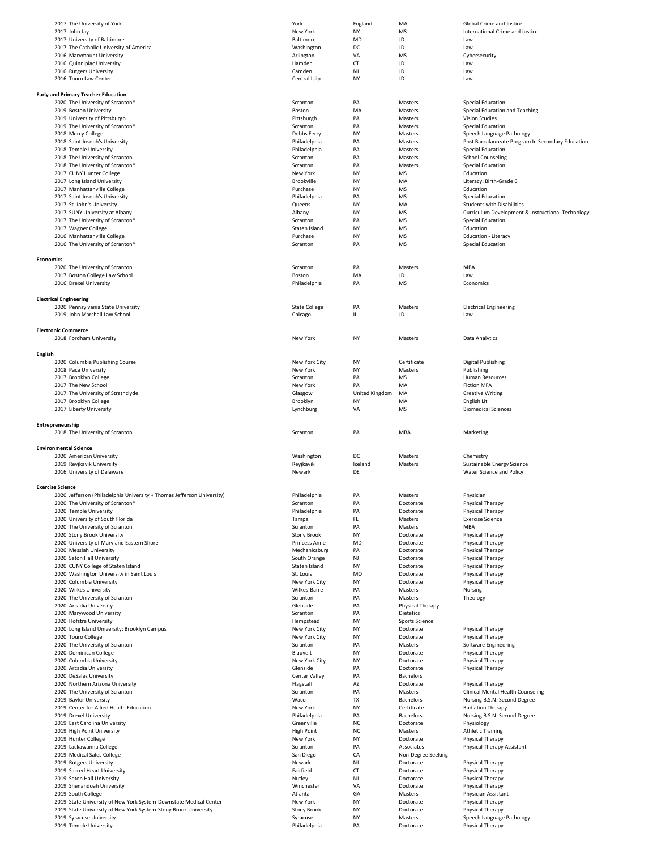| 2017 The University of York                                            | York                     | England        | MA                     | Global Crime and Justice                          |
|------------------------------------------------------------------------|--------------------------|----------------|------------------------|---------------------------------------------------|
| 2017 John Jay                                                          | New York                 | NY             | MS                     | International Crime and Justice                   |
| 2017 University of Baltimore                                           | Baltimore                | MD             | JD                     | Law                                               |
| 2017 The Catholic University of America                                | Washington               | DC             | JD                     | Law                                               |
| 2016 Marymount University                                              | Arlington                | VA             | MS                     | Cybersecurity                                     |
| 2016 Quinnipiac University                                             | Hamden                   | CT             | JD                     | Law                                               |
| 2016 Rutgers University                                                | Camden                   | NJ             | JD                     | Law                                               |
| 2016 Touro Law Center                                                  | Central Islip            | NY             | JD                     | Law                                               |
|                                                                        |                          |                |                        |                                                   |
| <b>Early and Primary Teacher Education</b>                             |                          |                |                        |                                                   |
| 2020 The University of Scranton*                                       | Scranton                 | PA             | Masters                | <b>Special Education</b>                          |
| 2019 Boston University                                                 | Boston                   | MA             | Masters                | Special Education and Teaching                    |
| 2019 University of Pittsburgh                                          | Pittsburgh               | PA             | Masters                | <b>Vision Studies</b>                             |
| 2019 The University of Scranton*                                       | Scranton                 | PA             | Masters                | Special Education                                 |
| 2018 Mercy College                                                     | Dobbs Ferry              | NY             | Masters                | Speech Language Pathology                         |
| 2018 Saint Joseph's University                                         | Philadelphia             | PA             | Masters                | Post Baccalaureate Program In Secondary Education |
| 2018 Temple University                                                 | Philadelphia             | PA             | Masters                | Special Education                                 |
| 2018 The University of Scranton                                        | Scranton                 | PA             | Masters                | <b>School Counseling</b>                          |
| 2018 The University of Scranton*                                       | Scranton                 | PA             | Masters                | Special Education                                 |
| 2017 CUNY Hunter College                                               | New York                 | NY             | MS                     | Education                                         |
| 2017 Long Island University                                            | Brookville               | ΝY             | MA                     | Literacy: Birth-Grade 6                           |
| 2017 Manhattanville College                                            | Purchase                 | NY             | MS                     | Education                                         |
| 2017 Saint Joseph's University                                         | Philadelphia             | PA             | MS                     | Special Education                                 |
| 2017 St. John's University                                             | Queens                   | NY             | MA                     | <b>Students with Disabilities</b>                 |
| 2017 SUNY University at Albany                                         | Albany                   | NY             | MS                     | Curriculum Development & Instructional Technology |
| 2017 The University of Scranton*                                       | Scranton                 | PA             | MS                     | Special Education                                 |
| 2017 Wagner College                                                    | Staten Island            | NY             | MS                     | Education                                         |
| 2016 Manhattanville College                                            | Purchase                 | NY             | MS                     | Education - Literacy                              |
| 2016 The University of Scranton*                                       | Scranton                 | PA             | MS                     | Special Education                                 |
|                                                                        |                          |                |                        |                                                   |
| <b>Economics</b>                                                       |                          |                |                        |                                                   |
| 2020 The University of Scranton                                        | Scranton                 | PA             | Masters                | MBA                                               |
| 2017 Boston College Law School                                         | Boston                   | MA             | JD                     | Law                                               |
| 2016 Drexel University                                                 | Philadelphia             | PA             | MS                     | Economics                                         |
|                                                                        |                          |                |                        |                                                   |
| <b>Electrical Engineering</b>                                          |                          |                |                        |                                                   |
| 2020 Pennsylvania State University                                     | <b>State College</b>     | PA             | Masters                | <b>Electrical Engineering</b>                     |
| 2019 John Marshall Law School                                          | Chicago                  | IL.            | JD                     | Law                                               |
| <b>Electronic Commerce</b>                                             |                          |                |                        |                                                   |
| 2018 Fordham University                                                | New York                 | NY             | Masters                | Data Analytics                                    |
|                                                                        |                          |                |                        |                                                   |
| <b>English</b>                                                         |                          |                |                        |                                                   |
| 2020 Columbia Publishing Course                                        | New York City            | NY             | Certificate            | Digital Publishing                                |
| 2018 Pace University                                                   | New York                 | NY             | Masters                | Publishing                                        |
| 2017 Brooklyn College                                                  | Scranton                 | PA             | MS                     | Human Resources                                   |
| 2017 The New School                                                    | New York                 | PA             | MA                     | <b>Fiction MFA</b>                                |
| 2017 The University of Strathclyde                                     | Glasgow                  | United Kingdom | MA                     | <b>Creative Writing</b>                           |
| 2017 Brooklyn College                                                  | Brooklyn                 | NY             | MA                     | English Lit                                       |
| 2017 Liberty University                                                | Lynchburg                | VA             | MS                     | <b>Biomedical Sciences</b>                        |
|                                                                        |                          |                |                        |                                                   |
| 2018 The University of Scranton<br><b>Environmental Science</b>        | Scranton                 | PA             | MBA                    | Marketing                                         |
| 2020 American University                                               | Washington               | DC             | Masters                | Chemistry                                         |
| 2019 Reyjkavik University                                              | Reyjkavik                | Iceland        | Masters                | Sustainable Energy Science                        |
| 2016 University of Delaware                                            | Newark                   | DE             |                        | Water Science and Policy                          |
| <b>Exercise Science</b>                                                |                          |                |                        |                                                   |
| 2020 Jefferson (Philadelphia University + Thomas Jefferson University) | Philadelphia             | PA             | Masters                | Physician                                         |
| 2020 The University of Scranton*                                       | Scranton                 | PA             | Doctorate              | Physical Therapy                                  |
| 2020 Temple University                                                 | Philadelphia             | PA             | Doctorate              | Physical Therapy                                  |
| 2020 University of South Florida                                       | Tampa                    | FL             | Masters                | <b>Exercise Science</b>                           |
| 2020 The University of Scranton                                        | Scranton                 | PA             | Masters                | MBA                                               |
| 2020 Stony Brook University                                            | <b>Stony Brook</b>       | NY             | Doctorate              | Physical Therapy                                  |
| 2020 University of Maryland Eastern Shore                              | Princess Anne            | MD             | Doctorate              | Physical Therapy                                  |
| 2020 Messiah University                                                | Mechanicsburg            | PA             | Doctorate              | Physical Therapy                                  |
| 2020 Seton Hall University                                             | South Orange             | NJ             | Doctorate              | Physical Therapy                                  |
| 2020 CUNY College of Staten Island                                     | Staten Island            | NY             | Doctorate              | Physical Therapy                                  |
| 2020 Washington University in Saint Louis                              | St. Louis                | MO             | Doctorate              | Physical Therapy                                  |
| 2020 Columbia University                                               | New York City            | ΝY             | Doctorate              | Physical Therapy                                  |
| 2020 Wilkes University                                                 | Wilkes-Barre             | PA             | Masters                | Nursing                                           |
| 2020 The University of Scranton                                        | Scranton                 | PA             | Masters                | Theology                                          |
| 2020 Arcadia University                                                | Glenside                 | PA             | Physical Therapy       |                                                   |
| 2020 Marywood University                                               | Scranton                 | PA             | Dietetics              |                                                   |
| 2020 Hofstra University                                                | Hempstead                | NY             | Sports Science         |                                                   |
| 2020 Long Island University: Brooklyn Campus                           | New York City            | NY             | Doctorate              | Physical Therapy                                  |
| 2020 Touro College                                                     | New York City            | ΝY             | Doctorate              | Physical Therapy                                  |
| 2020 The University of Scranton                                        | Scranton                 | PA             | Masters                | Software Engineering                              |
| 2020 Dominican College                                                 | Blauvelt                 | NY             | Doctorate              | Physical Therapy                                  |
| 2020 Columbia University                                               | New York City            | NY             | Doctorate              | Physical Therapy                                  |
| 2020 Arcadia University                                                | Glenside                 | PA             | Doctorate              | Physical Therapy                                  |
| 2020 DeSales University                                                | Center Valley            | PA             | Bachelors              |                                                   |
| 2020 Northern Arizona University                                       | Flagstaff                | AZ             | Doctorate              | Physical Therapy                                  |
| 2020 The University of Scranton                                        | Scranton                 | PA             | Masters                | <b>Clinical Mental Health Counseling</b>          |
| 2019 Baylor University                                                 | Waco                     | TX             | Bachelors              | Nursing B.S.N. Second Degree                      |
| 2019 Center for Allied Health Education                                | New York                 | ΝY             | Certificate            | Radiation Therapy                                 |
| 2019 Drexel University                                                 | Philadelphia             | PA             | Bachelors              | Nursing B.S.N. Second Degree                      |
| 2019 East Carolina University                                          | Greenville               | NC             | Doctorate              | Physiology                                        |
| 2019 High Point University                                             | <b>High Point</b>        | NC             | Masters                | <b>Athletic Training</b>                          |
| 2019 Hunter College                                                    | New York                 | NY             | Doctorate              | Physical Therapy                                  |
| 2019 Lackawanna College                                                | Scranton                 | PA             | Associates             | Physical Therapy Assistant                        |
| 2019 Medical Sales College                                             | San Diego                | CA             | Non-Degree Seeking     |                                                   |
| 2019 Rutgers University                                                | Newark                   | NJ             | Doctorate              | Physical Therapy                                  |
| 2019 Sacred Heart University                                           | Fairfield                | CT             | Doctorate              | Physical Therapy                                  |
| 2019 Seton Hall University<br>2019 Shenandoah University               | Nutley<br>Winchester     | NJ<br>VA       | Doctorate<br>Doctorate | Physical Therapy<br>Physical Therapy              |
| 2019 South College                                                     | Atlanta                  | GA             | Masters                | Physician Assistant                               |
| 2019 State University of New York System-Downstate Medical Center      | New York                 | NY             | Doctorate              | Physical Therapy                                  |
| 2019 State University of New York System-Stony Brook University        | Stony Brook              | NY             | Doctorate              | Physical Therapy                                  |
|                                                                        |                          |                |                        |                                                   |
| 2019 Syracuse University<br>2019 Temple University                     | Syracuse<br>Philadelphia | NY<br>PA       | Masters<br>Doctorate   | Speech Language Pathology<br>Physical Therapy     |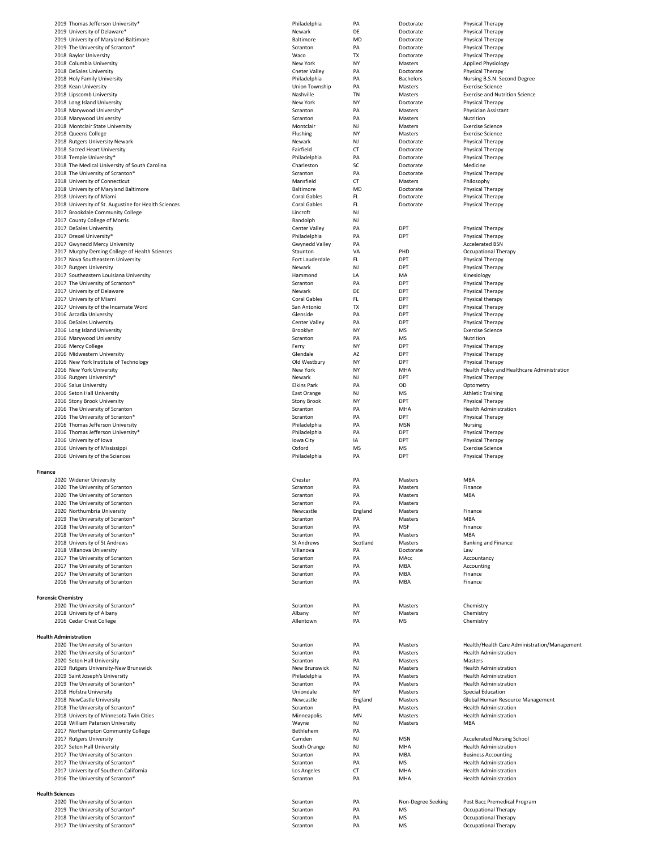|                              | 2019 Thomas Jefferson University*                                    | Philadelphia         | PA       | Doctorate          | Physical Therapy                             |
|------------------------------|----------------------------------------------------------------------|----------------------|----------|--------------------|----------------------------------------------|
|                              | 2019 University of Delaware*                                         | Newark               | DE       | Doctorate          | Physical Therapy                             |
|                              | 2019 University of Maryland-Baltimore                                | Baltimore            | MD       | Doctorate          | Physical Therapy                             |
|                              | 2019 The University of Scranton*                                     | Scranton             | PA       | Doctorate          | Physical Therapy                             |
|                              | 2018 Baylor University                                               | Waco                 | TX       | Doctorate          | Physical Therapy                             |
|                              | 2018 Columbia University                                             | New York             | ΝY       | Masters            | <b>Applied Physiology</b>                    |
|                              | 2018 DeSales University                                              | Cneter Valley        | PA       | Doctorate          | Physical Therapy                             |
|                              | 2018 Holy Family University                                          | Philadelphia         | PA       | <b>Bachelors</b>   | Nursing B.S.N. Second Degree                 |
|                              | 2018 Kean University                                                 | Union Township       | PA       | Masters            | <b>Exercise Science</b>                      |
|                              | 2018 Lipscomb University                                             | Nashville            | TN       | Masters            | <b>Exercise and Nutrition Science</b>        |
|                              | 2018 Long Island University                                          | New York             | NY       | Doctorate          | Physical Therapy                             |
|                              | 2018 Marywood University*                                            | Scranton             | PA       | Masters            | Physician Assistant                          |
|                              | 2018 Marywood University                                             | Scranton             | PA       | Masters            | Nutrition                                    |
|                              | 2018 Montclair State University                                      | Montclair            | NJ       | Masters            | <b>Exercise Science</b>                      |
|                              | 2018 Queens College                                                  | Flushing             | NY       | Masters            | <b>Exercise Science</b>                      |
|                              | 2018 Rutgers University Newark                                       | Newark               | NJ       | Doctorate          | Physical Therapy                             |
|                              | 2018 Sacred Heart University                                         | Fairfield            | CT       | Doctorate          | Physical Therapy                             |
|                              | 2018 Temple University*                                              | Philadelphia         | PA       | Doctorate          | <b>Physical Therapy</b>                      |
|                              | 2018 The Medical University of South Carolina                        | Charleston           | SC       | Doctorate          | Medicine                                     |
|                              | 2018 The University of Scranton*                                     | Scranton             | PA       | Doctorate          | Physical Therapy                             |
|                              | 2018 University of Connecticut                                       | Mansfield            | CT       | Masters            | Philosophy                                   |
|                              | 2018 University of Maryland Baltimore                                | Baltimore            | MD       | Doctorate          | Physical Therapy                             |
|                              | 2018 University of Miami                                             | <b>Coral Gables</b>  | FL       | Doctorate          | Physical Therapy                             |
|                              | 2018 University of St. Augustine for Health Sciences                 | <b>Coral Gables</b>  | FL       | Doctorate          | Physical Therapy                             |
|                              | 2017 Brookdale Community College                                     | Lincroft             | NJ       |                    |                                              |
|                              | 2017 County College of Morris                                        | Randolph             | NJ       |                    |                                              |
|                              | 2017 DeSales University                                              | Center Valley        | PA       | DPT                | Physical Therapy                             |
|                              | 2017 Drexel University*                                              | Philadelphia         | PA       | DPT                | Physical Therapy                             |
|                              | 2017 Gwynedd Mercy University                                        | Gwynedd Valley       | PA       |                    | <b>Accelerated BSN</b>                       |
|                              | 2017 Murphy Deming College of Health Sciences                        | Staunton             | VA       | PHD                | Occupational Therapy                         |
|                              | 2017 Nova Southeastern University                                    | Fort Lauderdale      | FL       | DPT                | Physical Therapy                             |
|                              | 2017 Rutgers University                                              | Newark               | NJ       | DPT                | <b>Physical Therapy</b>                      |
|                              | 2017 Southeastern Louisiana University                               | Hammond              | LA       | MA                 | Kinesiology                                  |
|                              | 2017 The University of Scranton*                                     | Scranton             | PA       | DPT                | Physical Therapy                             |
|                              | 2017 University of Delaware                                          | Newark               | DE       | DPT                | Physical Therapy                             |
|                              | 2017 University of Miami                                             | <b>Coral Gables</b>  | FL       | DPT                | Physical therapy                             |
|                              | 2017 University of the Incarnate Word                                | San Antonio          | TX       | DPT                | Physical Therapy                             |
|                              | 2016 Arcadia University                                              | Glenside             | PA       | DPT                | Physical Therapy                             |
|                              | 2016 DeSales University                                              | Center Valley        | PA       | DPT                | Physical Therapy                             |
|                              | 2016 Long Island University                                          | Brooklyn             | NY       | MS                 | <b>Exercise Science</b>                      |
|                              | 2016 Marywood University                                             | Scranton             | PA       | MS                 | Nutrition                                    |
|                              | 2016 Mercy College                                                   | Ferry                | NY       | DPT                | Physical Therapy                             |
|                              | 2016 Midwestern University                                           | Glendale             | AZ       | DPT                | Physical Therapy                             |
|                              | 2016 New York Institute of Technology                                | Old Westbury         | NY       | DPT                | Physical Therapy                             |
|                              | 2016 New York University                                             | New York             | NY       | MHA                | Health Policy and Healthcare Administration  |
|                              | 2016 Rutgers University*                                             | Newark               | NJ       | DPT                | Physical Therapy                             |
|                              | 2016 Salus University                                                | <b>Elkins Park</b>   | PA       | OD                 | Optometry                                    |
|                              | 2016 Seton Hall University                                           | East Orange          | NJ       | <b>MS</b>          | <b>Athletic Training</b>                     |
|                              | 2016 Stony Brook University                                          | <b>Stony Brook</b>   | NY       | DPT                | Physical Therapy                             |
|                              | 2016 The University of Scranton                                      | Scranton             | PA       | MHA                | <b>Health Administration</b>                 |
|                              | 2016 The University of Scranton*                                     | Scranton             | PA       | DPT                | Physical Therapy                             |
|                              | 2016 Thomas Jefferson University                                     | Philadelphia         | PA       | <b>MSN</b>         | Nursing                                      |
|                              | 2016 Thomas Jefferson University*                                    | Philadelphia         | PA       | DPT                | Physical Therapy                             |
|                              |                                                                      |                      |          |                    | Physical Therapy                             |
|                              | 2016 University of Iowa                                              | Iowa City            | ΙA       | DPT                |                                              |
|                              | 2016 University of Mississippi                                       | Oxford               | MS       | MS                 | <b>Exercise Science</b>                      |
|                              | 2016 University of the Sciences                                      | Philadelphia         | PA       | DPT                | Physical Therapy                             |
|                              |                                                                      |                      |          |                    |                                              |
| <b>Finance</b>               |                                                                      |                      |          |                    |                                              |
|                              | 2020 Widener University                                              | Chester              | PA       | Masters            | MBA                                          |
|                              | 2020 The University of Scranton                                      | Scranton             | PA       | Masters            | Finance                                      |
|                              | 2020 The University of Scranton                                      | Scranton             | PA       | Masters            | MBA                                          |
|                              | 2020 The University of Scranton                                      | Scranton             | PA       | Masters            |                                              |
|                              | 2020 Northumbria University                                          | Newcastle            | England  | Masters            | Finance                                      |
|                              | 2019 The University of Scranton*                                     | Scranton             | PA       | Masters            | MBA                                          |
|                              | 2018 The University of Scranton*                                     | Scranton             | PA       | <b>MSF</b>         | Finance                                      |
|                              | 2018 The University of Scranton*                                     | Scranton             | PA       | Masters            | MBA                                          |
|                              | 2018 University of St Andrews                                        | <b>St Andrews</b>    | Scotland | Masters            | <b>Banking and Finance</b>                   |
|                              | 2018 Villanova University                                            | Villanova            | PA       | Doctorate          | Law                                          |
|                              | 2017 The University of Scranton                                      | Scranton             | PA       | MAcc               | Accountancy                                  |
|                              | 2017 The University of Scranton                                      | Scranton             | PA       | MBA                | Accounting                                   |
|                              | 2017 The University of Scranton                                      | Scranton             | PA       | MBA                | Finance                                      |
|                              | 2016 The University of Scranton                                      | Scranton             | PA       | MBA                | Finance                                      |
|                              |                                                                      |                      |          |                    |                                              |
| <b>Forensic Chemistry</b>    |                                                                      |                      |          |                    |                                              |
|                              | 2020 The University of Scranton*                                     | Scranton             | PA       | Masters            | Chemistry                                    |
|                              | 2018 University of Albany                                            | Albany               | NY       | Masters            | Chemistry                                    |
|                              | 2016 Cedar Crest College                                             | Allentown            | PA       | MS                 | Chemistry                                    |
|                              |                                                                      |                      |          |                    |                                              |
| <b>Health Administration</b> |                                                                      |                      |          |                    |                                              |
|                              | 2020 The University of Scranton                                      | Scranton             | PA       | Masters            | Health/Health Care Administration/Management |
|                              | 2020 The University of Scranton*                                     | Scranton             | PA       | Masters            | <b>Health Administration</b>                 |
|                              | 2020 Seton Hall University                                           | Scranton             | PA       | Masters            | Masters                                      |
|                              | 2019 Rutgers University-New Brunswick                                | New Brunswick        | NJ       | Masters            | <b>Health Administration</b>                 |
|                              | 2019 Saint Joseph's University                                       | Philadelphia         | PA       | Masters            | <b>Health Administration</b>                 |
|                              | 2019 The University of Scranton*                                     | Scranton             | PA       | Masters            | <b>Health Administration</b>                 |
|                              | 2018 Hofstra University                                              | Uniondale            | NY       | Masters            | Special Education                            |
|                              | 2018 NewCastle University                                            | Newcastle            | England  | Masters            | Global Human Resource Management             |
|                              | 2018 The University of Scranton*                                     | Scranton             | PA       | Masters            | <b>Health Administration</b>                 |
|                              | 2018 University of Minnesota Twin Cities                             | Minneapolis          | MN       | Masters            | <b>Health Administration</b>                 |
|                              | 2018 William Paterson University                                     | Wayne                | NJ       | Masters            | MBA                                          |
|                              | 2017 Northampton Community College                                   | Bethlehem            | PA       |                    |                                              |
|                              | 2017 Rutgers University                                              | Camden               | NJ       | <b>MSN</b>         | <b>Accelerated Nursing School</b>            |
|                              | 2017 Seton Hall University                                           | South Orange         | NJ       | MHA                | <b>Health Administration</b>                 |
|                              | 2017 The University of Scranton                                      | Scranton             | PA       | MBA                | <b>Business Accounting</b>                   |
|                              | 2017 The University of Scranton*                                     | Scranton             | PA       | ΜS                 | <b>Health Administration</b>                 |
|                              | 2017 University of Southern California                               | Los Angeles          | СT       | MHA                | <b>Health Administration</b>                 |
|                              | 2016 The University of Scranton*                                     | Scranton             | PA       | MHA                | <b>Health Administration</b>                 |
|                              |                                                                      |                      |          |                    |                                              |
| <b>Health Sciences</b>       |                                                                      |                      |          |                    |                                              |
|                              | 2020 The University of Scranton                                      | Scranton             | PA       | Non-Degree Seeking | Post Bacc Premedical Program                 |
|                              | 2019 The University of Scranton*                                     | Scranton             | PA       | <b>MS</b>          | Occupational Therapy                         |
|                              | 2018 The University of Scranton*<br>2017 The University of Scranton* | Scranton<br>Scranton | PA<br>PA | MS<br>MS           | Occupational Therapy<br>Occupational Therapy |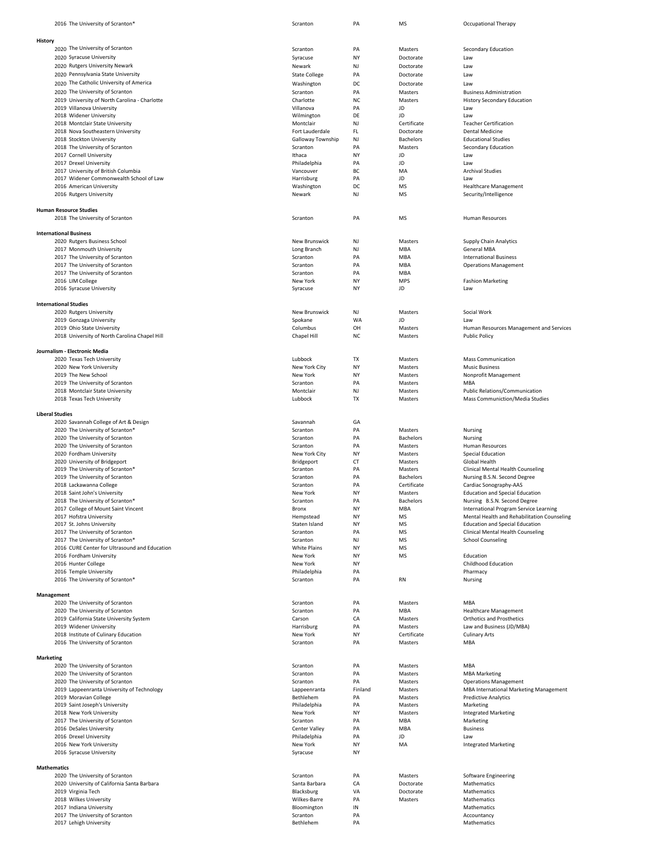| 2016 The University of Scranton <sup>®</sup>                | Scranton                      | PA        | МS                              | Occupational Therapy                                             |
|-------------------------------------------------------------|-------------------------------|-----------|---------------------------------|------------------------------------------------------------------|
|                                                             |                               |           |                                 |                                                                  |
| History                                                     |                               |           |                                 |                                                                  |
| 2020 The University of Scranton<br>2020 Syracuse University | Scranton                      | PA        | Masters                         | Secondary Education                                              |
| 2020 Rutgers University Newark                              | Syracuse                      | NY        | Doctorate                       | Law                                                              |
| 2020 Pennsylvania State University                          | Newark                        | NJ<br>PA  | Doctorate                       | Law                                                              |
| 2020 The Catholic University of America                     | <b>State College</b>          | DC        | Doctorate                       | Law                                                              |
| 2020 The University of Scranton                             | Washington<br>Scranton        | PA        | Doctorate<br>Masters            | Law<br><b>Business Administration</b>                            |
| 2019 University of North Carolina - Charlotte               | Charlotte                     | NC        | Masters                         | <b>History Secondary Education</b>                               |
| 2019 Villanova University                                   | Villanova                     | PA        | JD                              | Law                                                              |
| 2018 Widener University                                     | Wilmington                    | DE        | JD                              | Law                                                              |
| 2018 Montclair State University                             | Montclair                     | NJ        | Certificate                     | <b>Teacher Certification</b>                                     |
| 2018 Nova Southeastern University                           | Fort Lauderdale               | FL        | Doctorate                       | <b>Dental Medicine</b>                                           |
| 2018 Stockton University                                    | Galloway Township             | NJ        | <b>Bachelors</b>                | <b>Educational Studies</b>                                       |
| 2018 The University of Scranton                             | Scranton                      | PA        | Masters                         | Secondary Education                                              |
| 2017 Cornell University                                     | Ithaca                        | NY        | JD                              | Law                                                              |
| 2017 Drexel University                                      | Philadelphia                  | PA        | JD                              | Law                                                              |
| 2017 University of British Columbia                         | Vancouver                     | BC        | MA                              | <b>Archival Studies</b>                                          |
| 2017 Widener Commonwealth School of Law                     | Harrisburg                    | PA<br>DC  | JD<br>MS                        | Law                                                              |
| 2016 American University<br>2016 Rutgers University         | Washington<br>Newark          | NJ        | MS                              | <b>Healthcare Management</b><br>Security/Intelligence            |
|                                                             |                               |           |                                 |                                                                  |
| <b>Human Resource Studies</b>                               |                               |           |                                 |                                                                  |
| 2018 The University of Scranton                             | Scranton                      | PA        | MS                              | <b>Human Resources</b>                                           |
|                                                             |                               |           |                                 |                                                                  |
| <b>International Business</b>                               |                               |           |                                 |                                                                  |
| 2020 Rutgers Business School<br>2017 Monmouth University    | New Brunswick                 | NJ<br>NJ  | Masters<br>MBA                  | <b>Supply Chain Analytics</b><br><b>General MBA</b>              |
| 2017 The University of Scranton                             | Long Branch<br>Scranton       | PA        | MBA                             | <b>International Business</b>                                    |
| 2017 The University of Scranton                             | Scranton                      | PA        | MBA                             | <b>Operations Management</b>                                     |
| 2017 The University of Scranton                             | Scranton                      | PA        | MBA                             |                                                                  |
| 2016 LIM College                                            | New York                      | NY        | <b>MPS</b>                      | <b>Fashion Marketing</b>                                         |
| 2016 Syracuse University                                    | Syracuse                      | NY        | JD                              | Law                                                              |
|                                                             |                               |           |                                 |                                                                  |
| <b>International Studies</b>                                |                               |           |                                 |                                                                  |
| 2020 Rutgers University                                     | New Brunswick                 | NJ        | Masters                         | Social Work                                                      |
| 2019 Gonzaga University                                     | Spokane                       | WA        | JD                              | Law                                                              |
| 2019 Ohio State University                                  | Columbus                      | OH        | Masters                         | Human Resources Management and Services                          |
| 2018 University of North Carolina Chapel Hill               | Chapel Hill                   | NC        | Masters                         | <b>Public Policy</b>                                             |
| Journalism - Electronic Media                               |                               |           |                                 |                                                                  |
| 2020 Texas Tech University                                  | Lubbock                       | TX        | Masters                         | <b>Mass Communication</b>                                        |
| 2020 New York University                                    | New York City                 | NY        | Masters                         | <b>Music Business</b>                                            |
| 2019 The New School                                         | New York                      | NY        | Masters                         | Nonprofit Management                                             |
| 2019 The University of Scranton                             | Scranton                      | PA        | Masters                         | MBA                                                              |
| 2018 Montclair State University                             | Montclair                     | NJ        | Masters                         | Public Relations/Communication                                   |
| 2018 Texas Tech University                                  | Lubbock                       | TX        | Masters                         | Mass Communiction/Media Studies                                  |
|                                                             |                               |           |                                 |                                                                  |
| <b>Liberal Studies</b>                                      |                               |           |                                 |                                                                  |
|                                                             |                               |           |                                 |                                                                  |
| 2020 Savannah College of Art & Design                       | Savannah                      | GA        |                                 |                                                                  |
| 2020 The University of Scranton*                            | Scranton                      | PA        | Masters                         | Nursing                                                          |
| 2020 The University of Scranton                             | Scranton                      | PA        | <b>Bachelors</b>                | Nursing                                                          |
| 2020 The University of Scranton                             | Scranton                      | PA        | Masters                         | <b>Human Resources</b>                                           |
| 2020 Fordham University                                     | New York City                 | NY        | Masters                         | Special Education                                                |
| 2020 University of Bridgeport                               | Bridgeport                    | <b>CT</b> | Masters                         | Global Health                                                    |
| 2019 The University of Scranton*                            | Scranton                      | PA        | Masters                         | Clinical Mental Health Counseling                                |
| 2019 The University of Scranton<br>2018 Lackawanna College  | Scranton                      | PA<br>PA  | <b>Bachelors</b><br>Certificate | Nursing B.S.N. Second Degree                                     |
| 2018 Saint John's University                                | Scranton<br>New York          | NY        | Masters                         | Cardiac Sonography-AAS<br><b>Education and Special Education</b> |
| 2018 The University of Scranton*                            | Scranton                      | PA        | <b>Bachelors</b>                | Nursing B.S.N. Second Degree                                     |
| 2017 College of Mount Saint Vincent                         | Bronx                         | NY        | MBA                             | International Program Service Learning                           |
| 2017 Hofstra University                                     | Hempstead                     | NY        | MS                              | Mental Health and Rehabilitation Counseling                      |
| 2017 St. Johns University                                   | Staten Island                 | NY        | MS                              | <b>Education and Special Education</b>                           |
| 2017 The University of Scranton                             | Scranton                      | PA        | <b>MS</b>                       | <b>Clinical Mental Health Counseling</b>                         |
| 2017 The University of Scranton*                            | Scranton                      | NJ        | MS                              | <b>School Counseling</b>                                         |
| 2016 CURE Center for Ultrasound and Education               | <b>White Plains</b>           | NY        | MS                              |                                                                  |
| 2016 Fordham University                                     | New York                      | NY        | MS                              | Education                                                        |
| 2016 Hunter College                                         | New York                      | NY        |                                 | Childhood Education                                              |
| 2016 Temple University<br>2016 The University of Scranton*  | Philadelphia<br>Scranton      | PA<br>PA  | RN                              | Pharmacy<br>Nursing                                              |
|                                                             |                               |           |                                 |                                                                  |
| Management                                                  |                               |           |                                 |                                                                  |
| 2020 The University of Scranton                             | Scranton                      | PA        | Masters                         | MBA                                                              |
| 2020 The University of Scranton                             | Scranton                      | PA        | MBA                             | <b>Healthcare Management</b>                                     |
| 2019 California State University System                     | Carson                        | CA        | Masters                         | <b>Orthotics and Prosthetics</b>                                 |
| 2019 Widener University                                     | Harrisburg                    | PA        | Masters                         | Law and Business (JD/MBA)                                        |
| 2018 Institute of Culinary Education                        | New York                      | NY        | Certificate                     | <b>Culinary Arts</b>                                             |
| 2016 The University of Scranton                             | Scranton                      | PA        | Masters                         | MBA                                                              |
| <b>Marketing</b>                                            |                               |           |                                 |                                                                  |
| 2020 The University of Scranton                             | Scranton                      | PA        | Masters                         | MBA                                                              |
| 2020 The University of Scranton                             | Scranton                      | PA        | Masters                         | <b>MBA Marketing</b>                                             |
| 2020 The University of Scranton                             | Scranton                      | PA        | Masters                         | <b>Operations Management</b>                                     |
| 2019 Lappeenranta University of Technology                  | Lappeenranta                  | Finland   | Masters                         | <b>MBA International Marketing Management</b>                    |
| 2019 Moravian College                                       | Bethlehem                     | PA        | Masters                         | <b>Predictive Analytics</b>                                      |
| 2019 Saint Joseph's University                              | Philadelphia                  | PA        | Masters                         | Marketing                                                        |
| 2018 New York University                                    | New York                      | NY        | Masters                         | <b>Integrated Marketing</b>                                      |
| 2017 The University of Scranton                             | Scranton                      | PA<br>PA  | MBA<br>MBA                      | Marketing                                                        |
| 2016 DeSales University<br>2016 Drexel University           | Center Valley<br>Philadelphia | PA        | JD                              | <b>Business</b><br>Law                                           |
| 2016 New York University                                    | New York                      | NY        | MA                              | <b>Integrated Marketing</b>                                      |
| 2016 Syracuse University                                    | Syracuse                      | NY        |                                 |                                                                  |
|                                                             |                               |           |                                 |                                                                  |
| <b>Mathematics</b>                                          |                               |           |                                 |                                                                  |
| 2020 The University of Scranton                             | Scranton                      | PA        | Masters                         | <b>Software Engineering</b>                                      |
| 2020 University of California Santa Barbara                 | Santa Barbara                 | CA        | Doctorate                       | Mathematics                                                      |
| 2019 Virginia Tech                                          | Blacksburg                    | VA        | Doctorate                       | Mathematics                                                      |
| 2018 Wilkes University                                      | Wilkes-Barre                  | PA        | Masters                         | Mathematics                                                      |
| 2017 Indiana University                                     | Bloomington                   | IN        |                                 | Mathematics                                                      |
| 2017 The University of Scranton<br>2017 Lehigh University   | Scranton<br>Bethlehem         | PA<br>PA  |                                 | Accountancy<br>Mathematics                                       |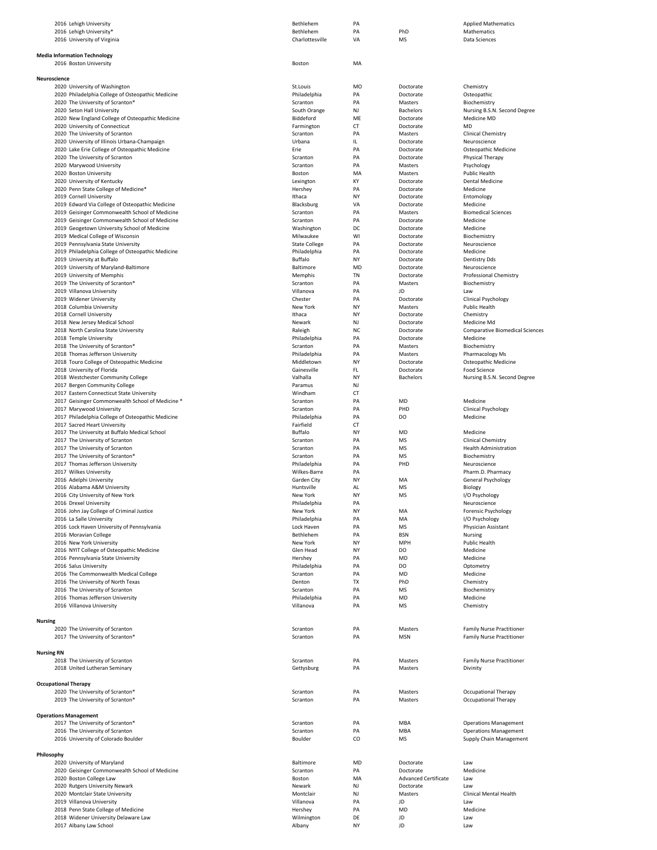| 2016 Lehigh University                            | Bethlehem                 | PA              |                             | <b>Applied Mathematics</b>             |
|---------------------------------------------------|---------------------------|-----------------|-----------------------------|----------------------------------------|
| 2016 Lehigh University*                           | Bethlehem                 | PA              | PhD                         | Mathematics                            |
| 2016 University of Virginia                       | Charlottesville           | VA              | <b>MS</b>                   | Data Sciences                          |
|                                                   |                           |                 |                             |                                        |
| <b>Media Information Technology</b>               |                           |                 |                             |                                        |
| 2016 Boston University                            | Boston                    | MA              |                             |                                        |
| Neuroscience                                      |                           |                 |                             |                                        |
| 2020 University of Washington                     | St.Louis                  | MO              | Doctorate                   | Chemistry                              |
| 2020 Philadelphia College of Osteopathic Medicine | Philadelphia              | PA              | Doctorate                   | Osteopathic                            |
| 2020 The University of Scranton*                  | Scranton                  | PA              | Masters                     | Biochemistry                           |
| 2020 Seton Hall University                        | South Orange              | NJ              | <b>Bachelors</b>            | Nursing B.S.N. Second Degree           |
| 2020 New England College of Osteopathic Medicine  | Biddeford                 | ME              | Doctorate                   | Medicine MD                            |
| 2020 University of Connecticut                    | Farmington                | CT              | Doctorate                   | MD                                     |
| 2020 The University of Scranton                   | Scranton                  | PA              | Masters                     | Clinical Chemistry                     |
| 2020 University of Illinois Urbana-Champaign      | Urbana                    | IL              | Doctorate                   | Neuroscience                           |
| 2020 Lake Erie College of Osteopathic Medicine    | Erie                      | PA              | Doctorate                   | Osteopathic Medicine                   |
| 2020 The University of Scranton                   | Scranton                  | PA              | Doctorate                   | Physical Therapy                       |
| 2020 Marywood University                          | Scranton                  | PA              | Masters                     | Psychology                             |
| 2020 Boston University                            | Boston                    | MA              | Masters                     | Public Health                          |
| 2020 University of Kentucky                       | Lexington                 | KY              | Doctorate                   | <b>Dental Medicine</b>                 |
| 2020 Penn State College of Medicine*              | Hershey                   | PA              | Doctorate                   | Medicine                               |
| 2019 Cornell University                           | Ithaca                    | NY              | Doctorate                   | Entomology                             |
| 2019 Edward Via College of Osteopathic Medicine   | Blacksburg                | VA              | Doctorate                   | Medicine                               |
| 2019 Geisinger Commonwealth School of Medicine    | Scranton                  | PA              | Masters                     | <b>Biomedical Sciences</b>             |
| 2019 Geisinger Commonwealth School of Medicine    | Scranton                  | PA              | Doctorate                   | Medicine                               |
| 2019 Geogetown University School of Medicine      | Washington                | DC              | Doctorate                   | Medicine                               |
| 2019 Medical College of Wisconsin                 | Milwaukee                 | WI              | Doctorate                   | Biochemistry                           |
| 2019 Pennsylvania State University                | <b>State College</b>      | PA              | Doctorate                   | Neuroscience                           |
| 2019 Philadelphia College of Osteopathic Medicine | Philadelphia              | PA              | Doctorate                   | Medicine                               |
| 2019 University at Buffalo                        | Buffalo                   | NY              | Doctorate                   | Dentistry Dds                          |
| 2019 University of Maryland-Baltimore             | Baltimore                 | MD              | Doctorate                   | Neuroscience                           |
| 2019 University of Memphis                        | Memphis                   | <b>TN</b>       | Doctorate                   | Professional Chemistry                 |
| 2019 The University of Scranton*                  | Scranton                  | PA              | Masters                     | Biochemistry                           |
| 2019 Villanova University                         | Villanova                 | PA              | JD                          | Law                                    |
| 2019 Widener University                           | Chester                   | PA              | Doctorate                   | Clinical Psychology                    |
| 2018 Columbia University                          | New York                  | NY              | Masters                     | Public Health                          |
| 2018 Cornell University                           | Ithaca                    | NY              | Doctorate                   | Chemistry                              |
| 2018 New Jersey Medical School                    | Newark                    | NJ              | Doctorate                   | Medicine Md                            |
| 2018 North Carolina State University              | Raleigh                   | NC              | Doctorate                   | <b>Comparative Biomedical Sciences</b> |
| 2018 Temple University                            | Philadelphia              | PA              | Doctorate                   | Medicine                               |
| 2018 The University of Scranton*                  | Scranton                  | PA              | Masters                     | Biochemistry                           |
| 2018 Thomas Jefferson University                  | Philadelphia              | PA              | Masters                     | Pharmacology Ms                        |
| 2018 Touro College of Osteopathic Medicine        | Middletown                | <b>NY</b>       | Doctorate                   | Osteopathic Medicine                   |
| 2018 University of Florida                        | Gainesville               | FL.             | Doctorate                   | Food Science                           |
| 2018 Westchester Community College                | Valhalla                  | NY              | <b>Bachelors</b>            | Nursing B.S.N. Second Degree           |
| 2017 Bergen Community College                     | Paramus                   | NJ              |                             |                                        |
|                                                   | Windham                   | <b>CT</b>       |                             |                                        |
| 2017 Eastern Connecticut State University         |                           |                 |                             |                                        |
| 2017 Geisinger Commonwealth School of Medicine *  | Scranton                  | PA              | MD                          | Medicine                               |
| 2017 Marywood University                          | Scranton                  | PA              | PHD                         | Clinical Psychology                    |
| 2017 Philadelphia College of Osteopathic Medicine | Philadelphia<br>Fairfield | PA<br><b>CT</b> | DO                          | Medicine                               |
| 2017 Sacred Heart University                      |                           | <b>NY</b>       |                             | Medicine                               |
| 2017 The University at Buffalo Medical School     | Buffalo                   |                 | MD                          |                                        |
| 2017 The University of Scranton                   | Scranton                  | PA              | MS                          | <b>Clinical Chemistry</b>              |
| 2017 The University of Scranton                   | Scranton                  | PA              | MS                          | <b>Health Administration</b>           |
| 2017 The University of Scranton*                  | Scranton                  | PA              | MS                          | Biochemistry                           |
| 2017 Thomas Jefferson University                  | Philadelphia              | PA              | PHD                         | Neuroscience                           |
| 2017 Wilkes University                            | Wilkes-Barre              | PA              |                             | Pharm.D. Pharmacy                      |
| 2016 Adelphi University                           | Garden City               | NY              | MA                          | General Psychology                     |
| 2016 Alabama A&M University                       | Huntsville                | AL              | <b>MS</b>                   | Biology                                |
| 2016 City University of New York                  | New York                  | <b>NY</b>       | <b>MS</b>                   | I/O Psychology                         |
| 2016 Drexel University                            | Philadelphia              | PA              |                             | Neuroscience                           |
| 2016 John Jay College of Criminal Justice         | New York                  | NY              | MA                          | Forensic Psychology                    |
| 2016 La Salle University                          | Philadelphia              | PA              | MA                          | I/O Psychology                         |
| 2016 Lock Haven University of Pennsylvania        | Lock Haven                | PA              | MS                          | Physician Assistant                    |
| 2016 Moravian College                             | Bethlehem                 | PA              | <b>BSN</b>                  | Nursing                                |
| 2016 New York University                          | New York                  | NY              | <b>MPH</b>                  | Public Health                          |
| 2016 NYIT College of Osteopathic Medicine         | Glen Head                 | NY              | DO                          | Medicine                               |
| 2016 Pennsylvania State University                | Hershey                   | PA              | MD                          | Medicine                               |
| 2016 Salus University                             | Philadelphia              | PA              | DO                          | Optometry                              |
| 2016 The Commonwealth Medical College             | Scranton                  | PA              | MD                          | Medicine                               |
| 2016 The University of North Texas                | Denton                    | <b>TX</b>       | PhD                         | Chemistry                              |
| 2016 The University of Scranton                   | Scranton                  | PA              | MS                          | Biochemistry                           |
| 2016 Thomas Jefferson University                  | Philadelphia              | PA              | MD                          | Medicine                               |
| 2016 Villanova University                         | Villanova                 | PA              | MS                          | Chemistry                              |
|                                                   |                           |                 |                             |                                        |
| <b>Nursing</b>                                    |                           |                 |                             |                                        |
| 2020 The University of Scranton                   | Scranton                  | PA              | Masters                     | <b>Family Nurse Practitioner</b>       |
| 2017 The University of Scranton*                  | Scranton                  | PA              | <b>MSN</b>                  | <b>Family Nurse Practitioner</b>       |
|                                                   |                           |                 |                             |                                        |
| <b>Nursing RN</b>                                 |                           |                 |                             |                                        |
| 2018 The University of Scranton                   | Scranton                  | PA              | Masters                     | <b>Family Nurse Practitioner</b>       |
| 2018 United Lutheran Seminary                     | Gettysburg                | PA              | Masters                     | Divinity                               |
|                                                   |                           |                 |                             |                                        |
| <b>Occupational Therapy</b>                       |                           |                 |                             |                                        |
| 2020 The University of Scranton*                  | Scranton                  | PA              | Masters                     | Occupational Therapy                   |
| 2019 The University of Scranton*                  | Scranton                  | PA              | Masters                     | Occupational Therapy                   |
|                                                   |                           |                 |                             |                                        |
| <b>Operations Management</b>                      |                           |                 |                             |                                        |
| 2017 The University of Scranton*                  | Scranton                  | PA              | MBA                         | <b>Operations Management</b>           |
| 2016 The University of Scranton                   | Scranton                  | PA              | MBA                         | <b>Operations Management</b>           |
| 2016 University of Colorado Boulder               | Boulder                   | CO              | МS                          | Supply Chain Management                |
|                                                   |                           |                 |                             |                                        |
| Philosophy                                        |                           |                 |                             |                                        |
| 2020 University of Maryland                       | Baltimore                 | MD              | Doctorate                   | Law                                    |
| 2020 Geisinger Commonwealth School of Medicine    | Scranton                  | PA              | Doctorate                   | Medicine                               |
| 2020 Boston College Law                           | Boston                    | MA              | <b>Advanced Certificate</b> | Law                                    |
| 2020 Rutgers University Newark                    | Newark                    | NJ              | Doctorate                   | Law                                    |
| 2020 Montclair State University                   | Montclair                 | NJ              | Masters                     | Clinical Mental Health                 |
| 2019 Villanova University                         | Villanova                 | PA              | JD                          | Law                                    |
| 2018 Penn State College of Medicine               | Hershey                   | PA              | MD                          | Medicine                               |
| 2018 Widener University Delaware Law              | Wilmington                | DE              | JD                          | Law                                    |
| 2017 Albany Law School                            | Albany                    | NY              | JD                          | Law                                    |
|                                                   |                           |                 |                             |                                        |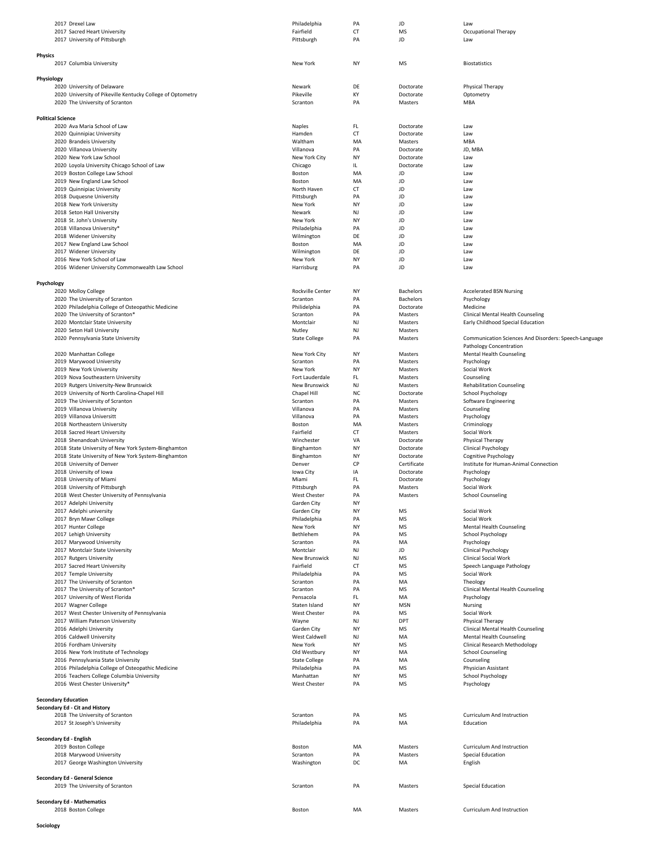|                            | 2017 Drexel Law                                                            | Philadelphia                | PA        | JD                       | Law                                                              |
|----------------------------|----------------------------------------------------------------------------|-----------------------------|-----------|--------------------------|------------------------------------------------------------------|
|                            | 2017 Sacred Heart University                                               | Fairfield                   | <b>CT</b> | <b>MS</b>                | Occupational Therapy                                             |
|                            | 2017 University of Pittsburgh                                              | Pittsburgh                  | PA        | JD                       | Law                                                              |
| <b>Physics</b>             |                                                                            |                             |           |                          |                                                                  |
|                            | 2017 Columbia University                                                   | New York                    | NY        | MS                       | Biostatistics                                                    |
|                            |                                                                            |                             |           |                          |                                                                  |
| Physiology                 |                                                                            |                             |           |                          |                                                                  |
|                            | 2020 University of Delaware                                                | Newark                      | DE        | Doctorate                | Physical Therapy                                                 |
|                            | 2020 University of Pikeville Kentucky College of Optometry                 | Pikeville                   | KY        | Doctorate                | Optometry                                                        |
|                            | 2020 The University of Scranton                                            | Scranton                    | PA        | Masters                  | MBA                                                              |
|                            |                                                                            |                             |           |                          |                                                                  |
| <b>Political Science</b>   | 2020 Ava Maria School of Law                                               | Naples                      | FL.       | Doctorate                | Law                                                              |
|                            | 2020 Quinnipiac University                                                 | Hamden                      | CT        | Doctorate                | Law                                                              |
|                            | 2020 Brandeis University                                                   | Waltham                     | MA        | Masters                  | MBA                                                              |
|                            | 2020 Villanova University                                                  | Villanova                   | PA        | Doctorate                | JD, MBA                                                          |
|                            | 2020 New York Law School                                                   | New York City               | NY        | Doctorate                | Law                                                              |
|                            | 2020 Loyola University Chicago School of Law                               | Chicago                     | IL        | Doctorate                | Law                                                              |
|                            | 2019 Boston College Law School                                             | Boston                      | MA        | JD                       | Law                                                              |
|                            | 2019 New England Law School                                                | Boston                      | MA        | JD                       | Law                                                              |
|                            | 2019 Quinnipiac University                                                 | North Haven                 | CT        | JD                       | Law                                                              |
|                            | 2018 Duquesne University                                                   | Pittsburgh                  | PA        | JD                       | Law                                                              |
|                            | 2018 New York University<br>2018 Seton Hall University                     | New York<br>Newark          | NY<br>NJ  | JD<br>JD                 | Law<br>Law                                                       |
|                            | 2018 St. John's University                                                 | New York                    | NY        | JD                       | Law                                                              |
|                            | 2018 Villanova University*                                                 | Philadelphia                | PA        | JD                       | Law                                                              |
|                            | 2018 Widener University                                                    | Wilmington                  | DE        | JD                       | Law                                                              |
|                            | 2017 New England Law School                                                | Boston                      | MA        | JD                       | Law                                                              |
|                            | 2017 Widener University                                                    | Wilmington                  | DE        | JD                       | Law                                                              |
|                            | 2016 New York School of Law                                                | New York                    | NY        | JD                       | Law                                                              |
|                            | 2016 Widener University Commonwealth Law School                            | Harrisburg                  | PA        | JD                       | Law                                                              |
|                            |                                                                            |                             |           |                          |                                                                  |
| Psychology                 | 2020 Molloy College                                                        | Rockville Center            | NY        | <b>Bachelors</b>         | <b>Accelerated BSN Nursing</b>                                   |
|                            | 2020 The University of Scranton                                            | Scranton                    | PA        | <b>Bachelors</b>         | Psychology                                                       |
|                            | 2020 Philadelphia College of Osteopathic Medicine                          | Philidelphia                | PA        | Doctorate                | Medicine                                                         |
|                            | 2020 The University of Scranton*                                           | Scranton                    | PA        | Masters                  | Clinical Mental Health Counseling                                |
|                            | 2020 Montclair State University                                            | Montclair                   | NJ        | Masters                  | Early Childhood Special Education                                |
|                            | 2020 Seton Hall University                                                 | Nutley                      | NJ        | Masters                  |                                                                  |
|                            | 2020 Pennsylvania State University                                         | <b>State College</b>        | PA        | Masters                  | Communication Sciences And Disorders: Speech-Language            |
|                            |                                                                            |                             |           |                          | Pathology Concentration                                          |
|                            | 2020 Manhattan College                                                     | New York City               | ΝY        | Masters                  | Mental Health Counseling                                         |
|                            | 2019 Marywood University                                                   | Scranton                    | PA        | Masters                  | Psychology                                                       |
|                            | 2019 New York University                                                   | New York<br>Fort Lauderdale | NY<br>FL. | Masters<br>Masters       | Social Work                                                      |
|                            | 2019 Nova Southeastern University<br>2019 Rutgers University-New Brunswick | New Brunswick               | NJ        | Masters                  | Counseling<br><b>Rehabilitation Counseling</b>                   |
|                            | 2019 University of North Carolina-Chapel Hill                              | Chapel Hill                 | NC        | Doctorate                | School Psychology                                                |
|                            | 2019 The University of Scranton                                            | Scranton                    | PA        | Masters                  | Software Engineering                                             |
|                            | 2019 Villanova University                                                  | Villanova                   | PA        | Masters                  | Counseling                                                       |
|                            | 2019 Villanova Universitt                                                  | Villanova                   | PA        | Masters                  | Psychology                                                       |
|                            | 2018 Northeastern University                                               | Boston                      | MA        | Masters                  | Criminology                                                      |
|                            | 2018 Sacred Heart University                                               | Fairfield                   | CT        | Masters                  | Social Work                                                      |
|                            | 2018 Shenandoah University                                                 | Winchester                  | VA        | Doctorate                | Physical Therapy                                                 |
|                            | 2018 State University of New York System-Binghamton                        | Binghamton                  | NY        | Doctorate                | Clinical Psychology                                              |
|                            | 2018 State University of New York System-Binghamton                        | Binghamton                  | NY        | Doctorate                | Cognitive Psychology                                             |
|                            | 2018 University of Denver<br>2018 University of Iowa                       | Denver<br>Iowa City         | CP<br>IA  | Certificate<br>Doctorate | Institute for Human-Animal Connection<br>Psychology              |
|                            | 2018 University of Miami                                                   | Miami                       | FL        | Doctorate                | Psychology                                                       |
|                            | 2018 University of Pittsburgh                                              | Pittsburgh                  | PA        | Masters                  | Social Work                                                      |
|                            | 2018 West Chester University of Pennsylvania                               | West Chester                | PA        | Masters                  | <b>School Counseling</b>                                         |
|                            | 2017 Adelphi University                                                    | Garden City                 | NY        |                          |                                                                  |
|                            | 2017 Adelphi university                                                    | Garden City                 | NY        | MS                       | Social Work                                                      |
|                            | 2017 Bryn Mawr College                                                     | Philadelphia                | PA        | MS                       | Social Work                                                      |
|                            | 2017 Hunter College                                                        | New York                    | NY        | MS                       | Mental Health Counseling                                         |
|                            | 2017 Lehigh University                                                     | Bethlehem                   | PA        | MS                       | School Psychology                                                |
|                            | 2017 Marywood University<br>2017 Montclair State University                | Scranton<br>Montclair       | PA<br>NJ  | MA<br>JD                 | Psychology<br><b>Clinical Psychology</b>                         |
|                            | 2017 Rutgers University                                                    | New Brunswick               | NJ        | MS                       | <b>Clinical Social Work</b>                                      |
|                            | 2017 Sacred Heart University                                               | Fairfield                   | <b>CT</b> | MS                       | Speech Language Pathology                                        |
|                            | 2017 Temple University                                                     | Philadelphia                | PA        | MS                       | Social Work                                                      |
|                            | 2017 The University of Scranton                                            | Scranton                    | PA        | MA                       | Theology                                                         |
|                            | 2017 The University of Scranton*                                           | Scranton                    | PA        | MS                       | Clinical Mental Health Counseling                                |
|                            | 2017 University of West Florida                                            | Pensacola                   | FL.       | MA                       | Psychology                                                       |
|                            | 2017 Wagner College                                                        | Staten Island               | NY        | <b>MSN</b>               | Nursing                                                          |
|                            | 2017 West Chester University of Pennsylvania                               | <b>West Chester</b>         | PA        | <b>MS</b>                | Social Work                                                      |
|                            | 2017 William Paterson University                                           | Wayne                       | NJ        | DPT                      | Physical Therapy                                                 |
|                            | 2016 Adelphi University                                                    | Garden City                 | NY        | MS                       | Clinical Mental Health Counseling                                |
|                            | 2016 Caldwell University<br>2016 Fordham University                        | West Caldwell<br>New York   | NJ<br>NY  | MA<br>MS                 | <b>Mental Health Counseling</b><br>Clinical Research Methodology |
|                            | 2016 New York Institute of Technology                                      | Old Westbury                | NY        | MA                       | <b>School Counseling</b>                                         |
|                            | 2016 Pennsylvania State University                                         | <b>State College</b>        | PA        | MA                       | Counseling                                                       |
|                            | 2016 Philadelphia College of Osteopathic Medicine                          | Philadelphia                | PA        | MS                       | Physician Assistant                                              |
|                            | 2016 Teachers College Columbia University                                  | Manhattan                   | NY        | MS                       | School Psychology                                                |
|                            | 2016 West Chester University*                                              | West Chester                | PA        | MS                       | Psychology                                                       |
|                            |                                                                            |                             |           |                          |                                                                  |
| <b>Secondary Education</b> |                                                                            |                             |           |                          |                                                                  |
|                            | Secondary Ed - Cit and History                                             |                             |           |                          |                                                                  |
|                            | 2018 The University of Scranton                                            | Scranton                    | PA        | MS                       | Curriculum And Instruction                                       |
|                            | 2017 St Joseph's University                                                | Philadelphia                | PA        | MA                       | Education                                                        |
|                            | Secondary Ed - English                                                     |                             |           |                          |                                                                  |
|                            | 2019 Boston College                                                        | Boston                      | MA        | Masters                  | Curriculum And Instruction                                       |
|                            | 2018 Marywood University                                                   | Scranton                    | PA        | Masters                  | Special Education                                                |
|                            | 2017 George Washington University                                          | Washington                  | DC        | MA                       | English                                                          |
|                            |                                                                            |                             |           |                          |                                                                  |
|                            | Secondary Ed - General Science                                             |                             |           |                          |                                                                  |
|                            | 2019 The University of Scranton                                            | Scranton                    | PA        | Masters                  | Special Education                                                |
|                            |                                                                            |                             |           |                          |                                                                  |
|                            | <b>Secondary Ed - Mathematics</b>                                          |                             |           |                          |                                                                  |
|                            | 2018 Boston College                                                        | Boston                      | MA        | Masters                  | Curriculum And Instruction                                       |

**Sociology**